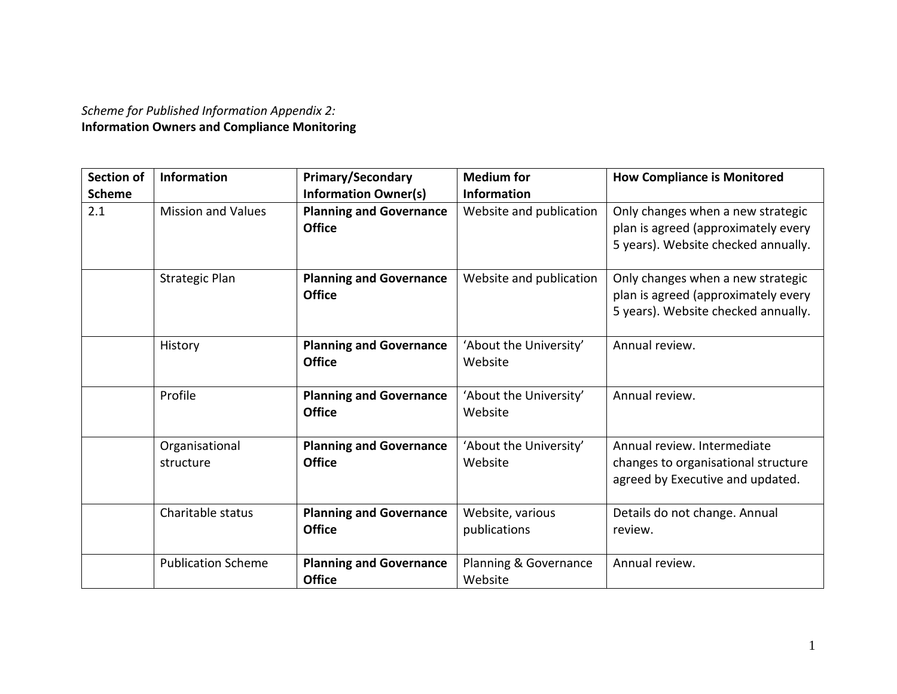## *Scheme for Published Information Appendix 2:* **Information Owners and Compliance Monitoring**

| <b>Section of</b> | <b>Information</b>          | <b>Primary/Secondary</b>                        | <b>Medium</b> for                 | <b>How Compliance is Monitored</b>                                                                              |
|-------------------|-----------------------------|-------------------------------------------------|-----------------------------------|-----------------------------------------------------------------------------------------------------------------|
| <b>Scheme</b>     |                             | <b>Information Owner(s)</b>                     | <b>Information</b>                |                                                                                                                 |
| 2.1               | <b>Mission and Values</b>   | <b>Planning and Governance</b><br><b>Office</b> | Website and publication           | Only changes when a new strategic<br>plan is agreed (approximately every<br>5 years). Website checked annually. |
|                   | <b>Strategic Plan</b>       | <b>Planning and Governance</b><br><b>Office</b> | Website and publication           | Only changes when a new strategic<br>plan is agreed (approximately every<br>5 years). Website checked annually. |
|                   | History                     | <b>Planning and Governance</b><br><b>Office</b> | 'About the University'<br>Website | Annual review.                                                                                                  |
|                   | Profile                     | <b>Planning and Governance</b><br><b>Office</b> | 'About the University'<br>Website | Annual review.                                                                                                  |
|                   | Organisational<br>structure | <b>Planning and Governance</b><br><b>Office</b> | 'About the University'<br>Website | Annual review. Intermediate<br>changes to organisational structure<br>agreed by Executive and updated.          |
|                   | Charitable status           | <b>Planning and Governance</b><br><b>Office</b> | Website, various<br>publications  | Details do not change. Annual<br>review.                                                                        |
|                   | <b>Publication Scheme</b>   | <b>Planning and Governance</b><br><b>Office</b> | Planning & Governance<br>Website  | Annual review.                                                                                                  |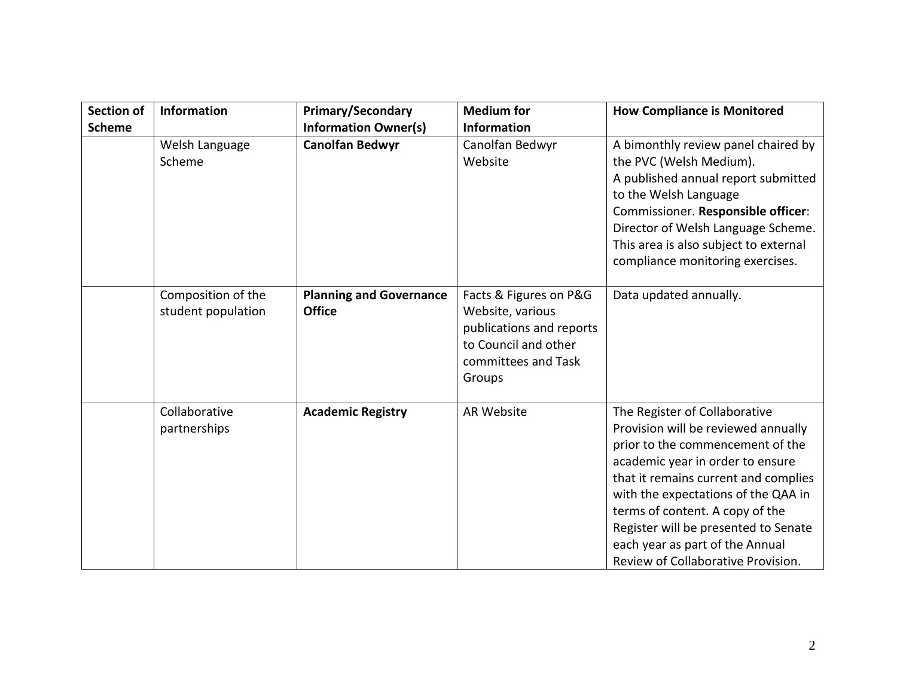| <b>Section of</b> | <b>Information</b>                       | <b>Primary/Secondary</b>                        | <b>Medium</b> for                                                                                                               | <b>How Compliance is Monitored</b>                                                                                                                                                                                                                                                                                                                                              |
|-------------------|------------------------------------------|-------------------------------------------------|---------------------------------------------------------------------------------------------------------------------------------|---------------------------------------------------------------------------------------------------------------------------------------------------------------------------------------------------------------------------------------------------------------------------------------------------------------------------------------------------------------------------------|
| <b>Scheme</b>     |                                          | <b>Information Owner(s)</b>                     | <b>Information</b>                                                                                                              |                                                                                                                                                                                                                                                                                                                                                                                 |
|                   | Welsh Language<br>Scheme                 | <b>Canolfan Bedwyr</b>                          | Canolfan Bedwyr<br>Website                                                                                                      | A bimonthly review panel chaired by<br>the PVC (Welsh Medium).<br>A published annual report submitted<br>to the Welsh Language<br>Commissioner. Responsible officer:<br>Director of Welsh Language Scheme.<br>This area is also subject to external<br>compliance monitoring exercises.                                                                                         |
|                   | Composition of the<br>student population | <b>Planning and Governance</b><br><b>Office</b> | Facts & Figures on P&G<br>Website, various<br>publications and reports<br>to Council and other<br>committees and Task<br>Groups | Data updated annually.                                                                                                                                                                                                                                                                                                                                                          |
|                   | Collaborative<br>partnerships            | <b>Academic Registry</b>                        | <b>AR Website</b>                                                                                                               | The Register of Collaborative<br>Provision will be reviewed annually<br>prior to the commencement of the<br>academic year in order to ensure<br>that it remains current and complies<br>with the expectations of the QAA in<br>terms of content. A copy of the<br>Register will be presented to Senate<br>each year as part of the Annual<br>Review of Collaborative Provision. |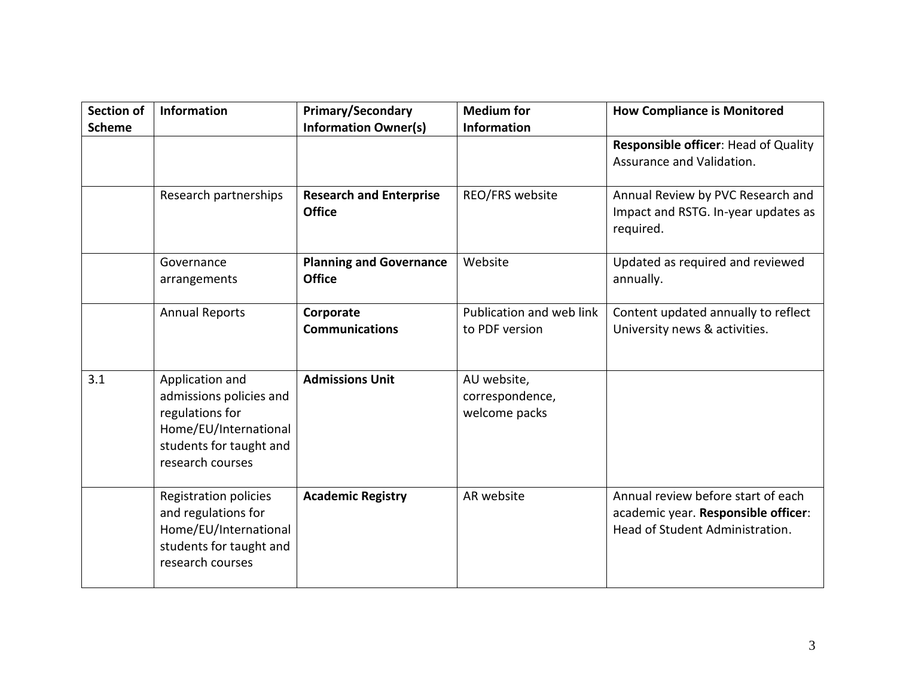| Section of<br><b>Scheme</b> | <b>Information</b>                                                                                                                    | <b>Primary/Secondary</b><br><b>Information Owner(s)</b> | <b>Medium for</b><br><b>Information</b>         | <b>How Compliance is Monitored</b>                                                                           |
|-----------------------------|---------------------------------------------------------------------------------------------------------------------------------------|---------------------------------------------------------|-------------------------------------------------|--------------------------------------------------------------------------------------------------------------|
|                             |                                                                                                                                       |                                                         |                                                 | Responsible officer: Head of Quality<br>Assurance and Validation.                                            |
|                             | Research partnerships                                                                                                                 | <b>Research and Enterprise</b><br><b>Office</b>         | REO/FRS website                                 | Annual Review by PVC Research and<br>Impact and RSTG. In-year updates as<br>required.                        |
|                             | Governance<br>arrangements                                                                                                            | <b>Planning and Governance</b><br><b>Office</b>         | Website                                         | Updated as required and reviewed<br>annually.                                                                |
|                             | <b>Annual Reports</b>                                                                                                                 | Corporate<br><b>Communications</b>                      | Publication and web link<br>to PDF version      | Content updated annually to reflect<br>University news & activities.                                         |
| 3.1                         | Application and<br>admissions policies and<br>regulations for<br>Home/EU/International<br>students for taught and<br>research courses | <b>Admissions Unit</b>                                  | AU website,<br>correspondence,<br>welcome packs |                                                                                                              |
|                             | Registration policies<br>and regulations for<br>Home/EU/International<br>students for taught and<br>research courses                  | <b>Academic Registry</b>                                | AR website                                      | Annual review before start of each<br>academic year. Responsible officer:<br>Head of Student Administration. |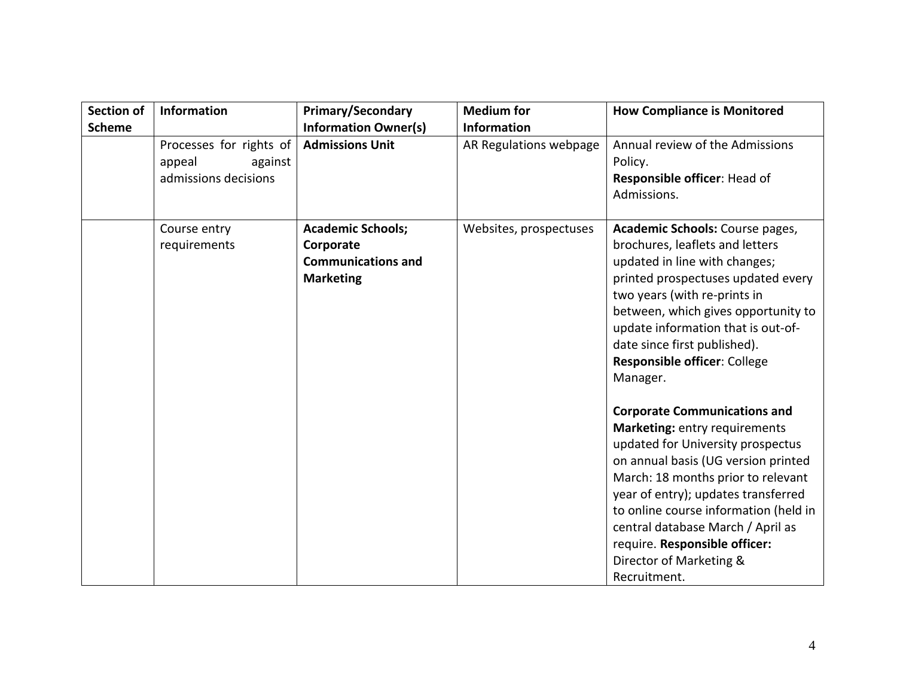| Section of    | Information                                                          | <b>Primary/Secondary</b>                                                               | <b>Medium</b> for      | <b>How Compliance is Monitored</b>                                                                                                                                                                                                                                                                                                                                                      |
|---------------|----------------------------------------------------------------------|----------------------------------------------------------------------------------------|------------------------|-----------------------------------------------------------------------------------------------------------------------------------------------------------------------------------------------------------------------------------------------------------------------------------------------------------------------------------------------------------------------------------------|
| <b>Scheme</b> |                                                                      | <b>Information Owner(s)</b>                                                            | <b>Information</b>     |                                                                                                                                                                                                                                                                                                                                                                                         |
|               | Processes for rights of<br>appeal<br>against<br>admissions decisions | <b>Admissions Unit</b>                                                                 | AR Regulations webpage | Annual review of the Admissions<br>Policy.<br>Responsible officer: Head of<br>Admissions.                                                                                                                                                                                                                                                                                               |
|               | Course entry<br>requirements                                         | <b>Academic Schools;</b><br>Corporate<br><b>Communications and</b><br><b>Marketing</b> | Websites, prospectuses | Academic Schools: Course pages,<br>brochures, leaflets and letters<br>updated in line with changes;<br>printed prospectuses updated every<br>two years (with re-prints in<br>between, which gives opportunity to<br>update information that is out-of-<br>date since first published).<br>Responsible officer: College<br>Manager.                                                      |
|               |                                                                      |                                                                                        |                        | <b>Corporate Communications and</b><br>Marketing: entry requirements<br>updated for University prospectus<br>on annual basis (UG version printed<br>March: 18 months prior to relevant<br>year of entry); updates transferred<br>to online course information (held in<br>central database March / April as<br>require. Responsible officer:<br>Director of Marketing &<br>Recruitment. |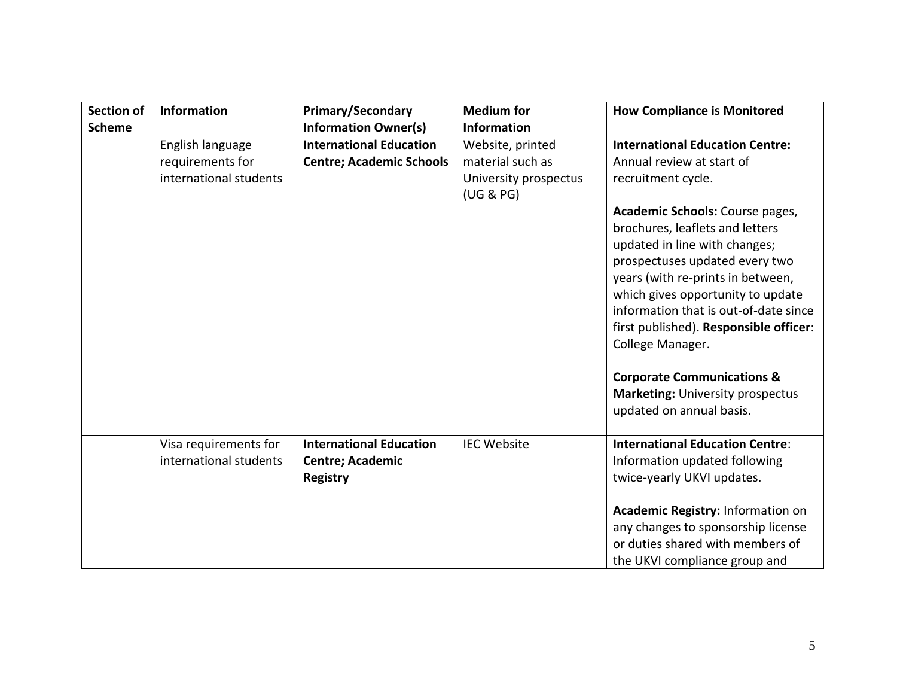| <b>Section of</b> | <b>Information</b>     | <b>Primary/Secondary</b>        | <b>Medium</b> for     | <b>How Compliance is Monitored</b>                                                                                                                                                                                                                                                                                                                              |
|-------------------|------------------------|---------------------------------|-----------------------|-----------------------------------------------------------------------------------------------------------------------------------------------------------------------------------------------------------------------------------------------------------------------------------------------------------------------------------------------------------------|
| <b>Scheme</b>     |                        | <b>Information Owner(s)</b>     | <b>Information</b>    |                                                                                                                                                                                                                                                                                                                                                                 |
|                   | English language       | <b>International Education</b>  | Website, printed      | <b>International Education Centre:</b>                                                                                                                                                                                                                                                                                                                          |
|                   | requirements for       | <b>Centre; Academic Schools</b> | material such as      | Annual review at start of                                                                                                                                                                                                                                                                                                                                       |
|                   | international students |                                 | University prospectus | recruitment cycle.                                                                                                                                                                                                                                                                                                                                              |
|                   |                        |                                 | (UG & PG)             |                                                                                                                                                                                                                                                                                                                                                                 |
|                   |                        |                                 |                       | Academic Schools: Course pages,<br>brochures, leaflets and letters<br>updated in line with changes;<br>prospectuses updated every two<br>years (with re-prints in between,<br>which gives opportunity to update<br>information that is out-of-date since<br>first published). Responsible officer:<br>College Manager.<br><b>Corporate Communications &amp;</b> |
|                   |                        |                                 |                       | <b>Marketing: University prospectus</b><br>updated on annual basis.                                                                                                                                                                                                                                                                                             |
|                   | Visa requirements for  | <b>International Education</b>  | <b>IEC Website</b>    | <b>International Education Centre:</b>                                                                                                                                                                                                                                                                                                                          |
|                   | international students | Centre; Academic                |                       | Information updated following                                                                                                                                                                                                                                                                                                                                   |
|                   |                        | <b>Registry</b>                 |                       | twice-yearly UKVI updates.                                                                                                                                                                                                                                                                                                                                      |
|                   |                        |                                 |                       |                                                                                                                                                                                                                                                                                                                                                                 |
|                   |                        |                                 |                       | Academic Registry: Information on<br>any changes to sponsorship license<br>or duties shared with members of<br>the UKVI compliance group and                                                                                                                                                                                                                    |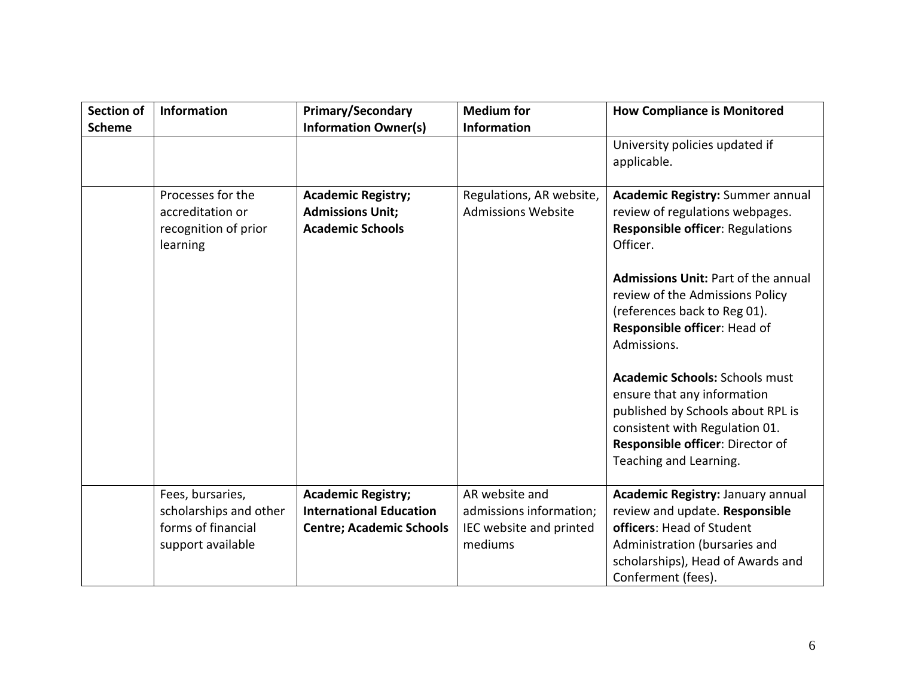| <b>Section of</b><br><b>Scheme</b> | Information                                                                           | <b>Primary/Secondary</b><br><b>Information Owner(s)</b>                                        | <b>Medium for</b><br><b>Information</b>                                         | <b>How Compliance is Monitored</b>                                                                                                                                                                                                                                                                                                                                        |
|------------------------------------|---------------------------------------------------------------------------------------|------------------------------------------------------------------------------------------------|---------------------------------------------------------------------------------|---------------------------------------------------------------------------------------------------------------------------------------------------------------------------------------------------------------------------------------------------------------------------------------------------------------------------------------------------------------------------|
|                                    |                                                                                       |                                                                                                |                                                                                 | University policies updated if<br>applicable.                                                                                                                                                                                                                                                                                                                             |
|                                    | Processes for the<br>accreditation or<br>recognition of prior<br>learning             | <b>Academic Registry;</b><br><b>Admissions Unit;</b><br><b>Academic Schools</b>                | Regulations, AR website,<br><b>Admissions Website</b>                           | <b>Academic Registry: Summer annual</b><br>review of regulations webpages.<br><b>Responsible officer: Regulations</b><br>Officer.<br><b>Admissions Unit: Part of the annual</b><br>review of the Admissions Policy<br>(references back to Reg 01).<br>Responsible officer: Head of<br>Admissions.<br><b>Academic Schools: Schools must</b><br>ensure that any information |
|                                    |                                                                                       |                                                                                                |                                                                                 | published by Schools about RPL is<br>consistent with Regulation 01.<br>Responsible officer: Director of<br>Teaching and Learning.                                                                                                                                                                                                                                         |
|                                    | Fees, bursaries,<br>scholarships and other<br>forms of financial<br>support available | <b>Academic Registry;</b><br><b>International Education</b><br><b>Centre; Academic Schools</b> | AR website and<br>admissions information;<br>IEC website and printed<br>mediums | Academic Registry: January annual<br>review and update. Responsible<br>officers: Head of Student<br>Administration (bursaries and<br>scholarships), Head of Awards and<br>Conferment (fees).                                                                                                                                                                              |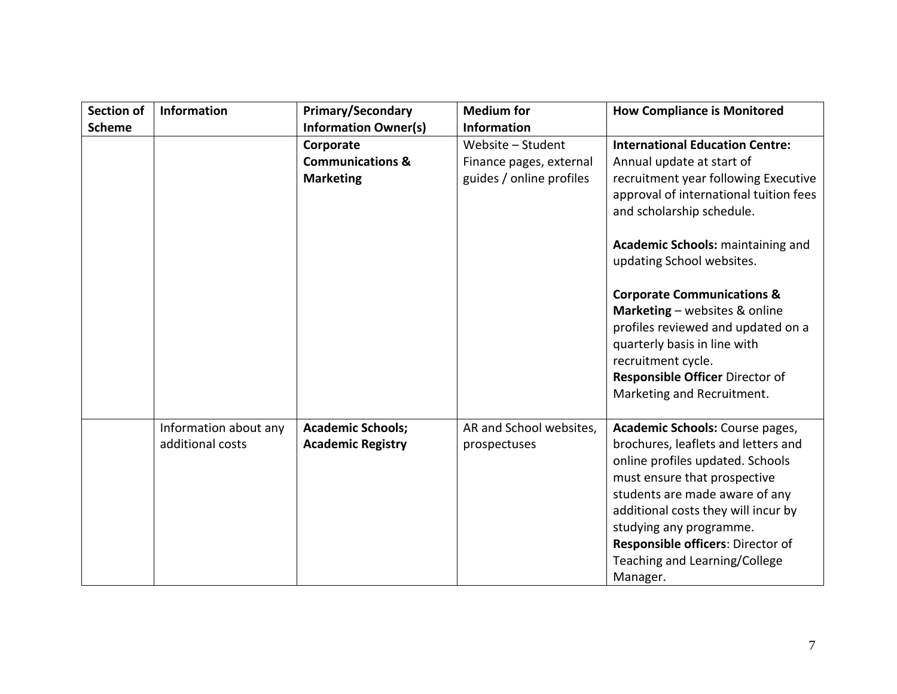| <b>Section of</b> | Information                               | <b>Primary/Secondary</b>                                     | <b>Medium for</b>                                                        | <b>How Compliance is Monitored</b>                                                                                                                                                                                                                                                                                                                                                                                                                                                          |
|-------------------|-------------------------------------------|--------------------------------------------------------------|--------------------------------------------------------------------------|---------------------------------------------------------------------------------------------------------------------------------------------------------------------------------------------------------------------------------------------------------------------------------------------------------------------------------------------------------------------------------------------------------------------------------------------------------------------------------------------|
| <b>Scheme</b>     |                                           | <b>Information Owner(s)</b>                                  | <b>Information</b>                                                       |                                                                                                                                                                                                                                                                                                                                                                                                                                                                                             |
|                   |                                           | Corporate<br><b>Communications &amp;</b><br><b>Marketing</b> | Website - Student<br>Finance pages, external<br>guides / online profiles | <b>International Education Centre:</b><br>Annual update at start of<br>recruitment year following Executive<br>approval of international tuition fees<br>and scholarship schedule.<br>Academic Schools: maintaining and<br>updating School websites.<br><b>Corporate Communications &amp;</b><br>Marketing - websites & online<br>profiles reviewed and updated on a<br>quarterly basis in line with<br>recruitment cycle.<br>Responsible Officer Director of<br>Marketing and Recruitment. |
|                   | Information about any<br>additional costs | <b>Academic Schools;</b><br><b>Academic Registry</b>         | AR and School websites,<br>prospectuses                                  | Academic Schools: Course pages,<br>brochures, leaflets and letters and<br>online profiles updated. Schools<br>must ensure that prospective<br>students are made aware of any<br>additional costs they will incur by<br>studying any programme.<br>Responsible officers: Director of<br>Teaching and Learning/College<br>Manager.                                                                                                                                                            |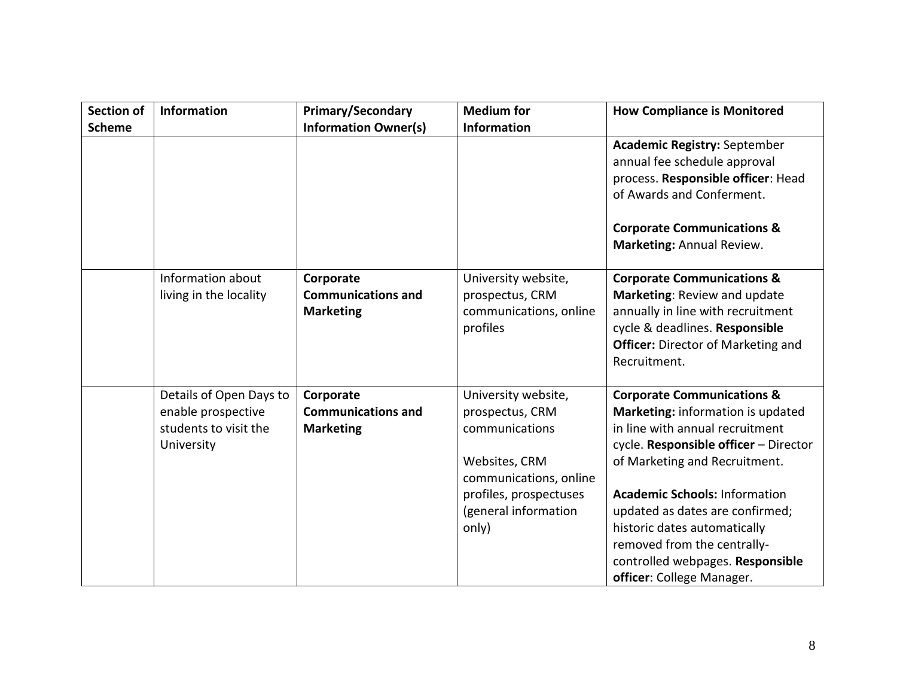| <b>Section of</b><br><b>Scheme</b> | Information                                                                          | <b>Primary/Secondary</b><br><b>Information Owner(s)</b>    | <b>Medium for</b><br><b>Information</b>                                                                                                                        | <b>How Compliance is Monitored</b>                                                                                                                                                                                                                                                                                                                                                                 |
|------------------------------------|--------------------------------------------------------------------------------------|------------------------------------------------------------|----------------------------------------------------------------------------------------------------------------------------------------------------------------|----------------------------------------------------------------------------------------------------------------------------------------------------------------------------------------------------------------------------------------------------------------------------------------------------------------------------------------------------------------------------------------------------|
|                                    |                                                                                      |                                                            |                                                                                                                                                                | <b>Academic Registry: September</b><br>annual fee schedule approval<br>process. Responsible officer: Head<br>of Awards and Conferment.<br><b>Corporate Communications &amp;</b><br>Marketing: Annual Review.                                                                                                                                                                                       |
|                                    | Information about<br>living in the locality                                          | Corporate<br><b>Communications and</b><br><b>Marketing</b> | University website,<br>prospectus, CRM<br>communications, online<br>profiles                                                                                   | <b>Corporate Communications &amp;</b><br>Marketing: Review and update<br>annually in line with recruitment<br>cycle & deadlines. Responsible<br><b>Officer:</b> Director of Marketing and<br>Recruitment.                                                                                                                                                                                          |
|                                    | Details of Open Days to<br>enable prospective<br>students to visit the<br>University | Corporate<br><b>Communications and</b><br><b>Marketing</b> | University website,<br>prospectus, CRM<br>communications<br>Websites, CRM<br>communications, online<br>profiles, prospectuses<br>(general information<br>only) | <b>Corporate Communications &amp;</b><br>Marketing: information is updated<br>in line with annual recruitment<br>cycle. Responsible officer - Director<br>of Marketing and Recruitment.<br><b>Academic Schools: Information</b><br>updated as dates are confirmed;<br>historic dates automatically<br>removed from the centrally-<br>controlled webpages. Responsible<br>officer: College Manager. |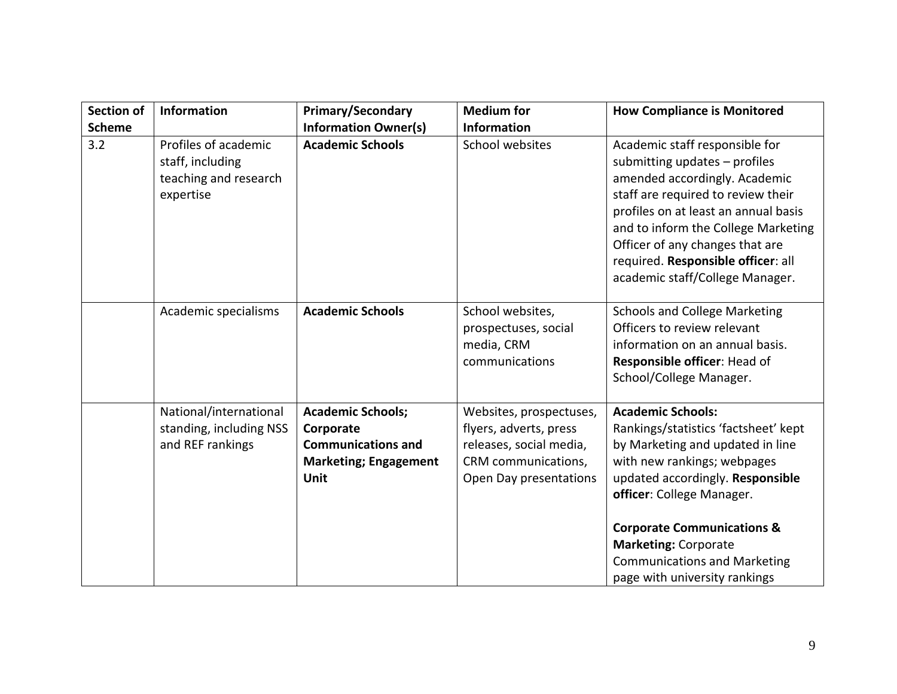| <b>Section of</b> | <b>Information</b>                                                             | <b>Primary/Secondary</b>                                                                                          | <b>Medium for</b>                                                                                                             | <b>How Compliance is Monitored</b>                                                                                                                                                                                                                                                                                                                   |
|-------------------|--------------------------------------------------------------------------------|-------------------------------------------------------------------------------------------------------------------|-------------------------------------------------------------------------------------------------------------------------------|------------------------------------------------------------------------------------------------------------------------------------------------------------------------------------------------------------------------------------------------------------------------------------------------------------------------------------------------------|
| <b>Scheme</b>     |                                                                                | <b>Information Owner(s)</b>                                                                                       | <b>Information</b>                                                                                                            |                                                                                                                                                                                                                                                                                                                                                      |
| 3.2               | Profiles of academic<br>staff, including<br>teaching and research<br>expertise | <b>Academic Schools</b>                                                                                           | School websites                                                                                                               | Academic staff responsible for<br>submitting updates - profiles<br>amended accordingly. Academic<br>staff are required to review their<br>profiles on at least an annual basis<br>and to inform the College Marketing<br>Officer of any changes that are<br>required. Responsible officer: all<br>academic staff/College Manager.                    |
|                   | Academic specialisms                                                           | <b>Academic Schools</b>                                                                                           | School websites,<br>prospectuses, social<br>media, CRM<br>communications                                                      | <b>Schools and College Marketing</b><br>Officers to review relevant<br>information on an annual basis.<br>Responsible officer: Head of<br>School/College Manager.                                                                                                                                                                                    |
|                   | National/international<br>standing, including NSS<br>and REF rankings          | <b>Academic Schools;</b><br>Corporate<br><b>Communications and</b><br><b>Marketing; Engagement</b><br><b>Unit</b> | Websites, prospectuses,<br>flyers, adverts, press<br>releases, social media,<br>CRM communications,<br>Open Day presentations | <b>Academic Schools:</b><br>Rankings/statistics 'factsheet' kept<br>by Marketing and updated in line<br>with new rankings; webpages<br>updated accordingly. Responsible<br>officer: College Manager.<br><b>Corporate Communications &amp;</b><br><b>Marketing: Corporate</b><br><b>Communications and Marketing</b><br>page with university rankings |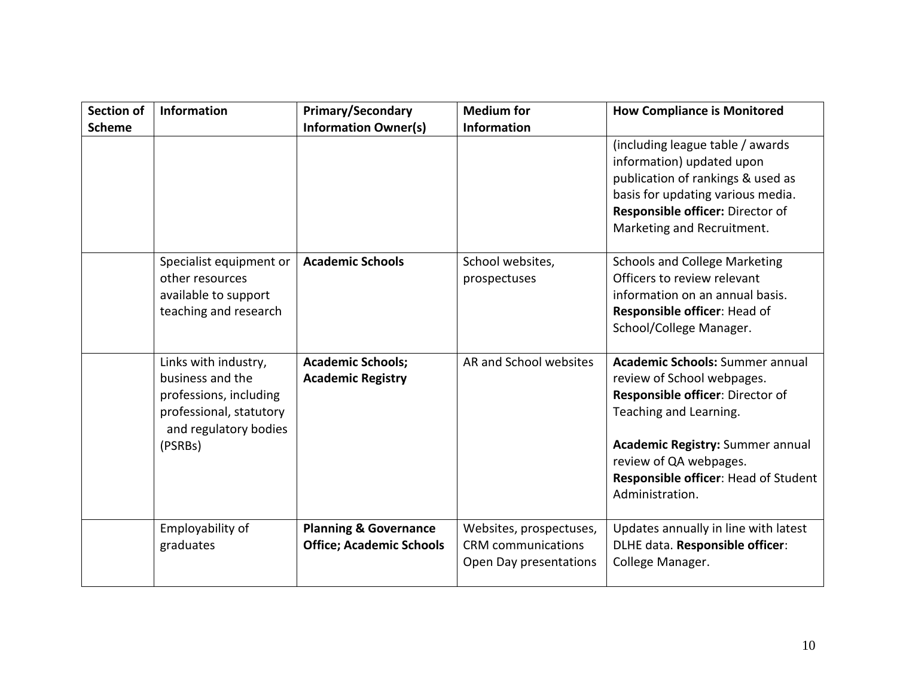| <b>Section of</b> | Information                                                                                                                       | <b>Primary/Secondary</b>                                            | <b>Medium for</b>                                                              | <b>How Compliance is Monitored</b>                                                                                                                                                                                                                                 |
|-------------------|-----------------------------------------------------------------------------------------------------------------------------------|---------------------------------------------------------------------|--------------------------------------------------------------------------------|--------------------------------------------------------------------------------------------------------------------------------------------------------------------------------------------------------------------------------------------------------------------|
| <b>Scheme</b>     |                                                                                                                                   | <b>Information Owner(s)</b>                                         | <b>Information</b>                                                             |                                                                                                                                                                                                                                                                    |
|                   |                                                                                                                                   |                                                                     |                                                                                | (including league table / awards<br>information) updated upon<br>publication of rankings & used as<br>basis for updating various media.<br>Responsible officer: Director of<br>Marketing and Recruitment.                                                          |
|                   | Specialist equipment or<br>other resources<br>available to support<br>teaching and research                                       | <b>Academic Schools</b>                                             | School websites,<br>prospectuses                                               | <b>Schools and College Marketing</b><br>Officers to review relevant<br>information on an annual basis.<br>Responsible officer: Head of<br>School/College Manager.                                                                                                  |
|                   | Links with industry,<br>business and the<br>professions, including<br>professional, statutory<br>and regulatory bodies<br>(PSRBs) | <b>Academic Schools;</b><br><b>Academic Registry</b>                | AR and School websites                                                         | <b>Academic Schools: Summer annual</b><br>review of School webpages.<br>Responsible officer: Director of<br>Teaching and Learning.<br><b>Academic Registry: Summer annual</b><br>review of QA webpages.<br>Responsible officer: Head of Student<br>Administration. |
|                   | Employability of<br>graduates                                                                                                     | <b>Planning &amp; Governance</b><br><b>Office; Academic Schools</b> | Websites, prospectuses,<br><b>CRM</b> communications<br>Open Day presentations | Updates annually in line with latest<br>DLHE data. Responsible officer:<br>College Manager.                                                                                                                                                                        |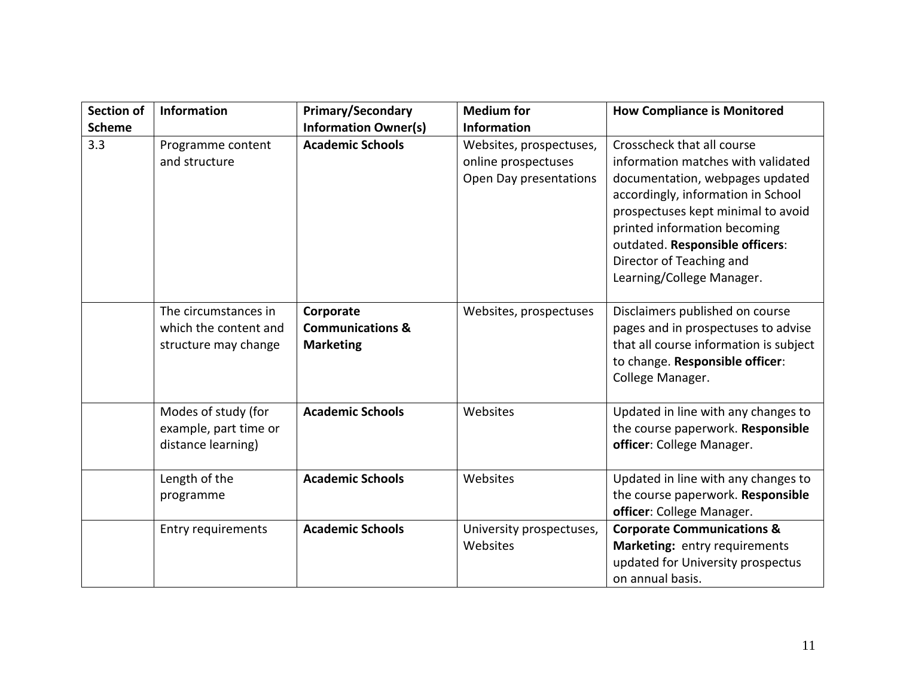| <b>Section of</b> | Information                                                           | <b>Primary/Secondary</b>                                     | <b>Medium for</b>                                                        | <b>How Compliance is Monitored</b>                                                                                                                                                                                                                                                                          |
|-------------------|-----------------------------------------------------------------------|--------------------------------------------------------------|--------------------------------------------------------------------------|-------------------------------------------------------------------------------------------------------------------------------------------------------------------------------------------------------------------------------------------------------------------------------------------------------------|
| <b>Scheme</b>     |                                                                       | <b>Information Owner(s)</b>                                  | <b>Information</b>                                                       |                                                                                                                                                                                                                                                                                                             |
| 3.3               | Programme content<br>and structure                                    | <b>Academic Schools</b>                                      | Websites, prospectuses,<br>online prospectuses<br>Open Day presentations | Crosscheck that all course<br>information matches with validated<br>documentation, webpages updated<br>accordingly, information in School<br>prospectuses kept minimal to avoid<br>printed information becoming<br>outdated. Responsible officers:<br>Director of Teaching and<br>Learning/College Manager. |
|                   | The circumstances in<br>which the content and<br>structure may change | Corporate<br><b>Communications &amp;</b><br><b>Marketing</b> | Websites, prospectuses                                                   | Disclaimers published on course<br>pages and in prospectuses to advise<br>that all course information is subject<br>to change. Responsible officer:<br>College Manager.                                                                                                                                     |
|                   | Modes of study (for<br>example, part time or<br>distance learning)    | <b>Academic Schools</b>                                      | Websites                                                                 | Updated in line with any changes to<br>the course paperwork. Responsible<br>officer: College Manager.                                                                                                                                                                                                       |
|                   | Length of the<br>programme                                            | <b>Academic Schools</b>                                      | Websites                                                                 | Updated in line with any changes to<br>the course paperwork. Responsible<br>officer: College Manager.                                                                                                                                                                                                       |
|                   | Entry requirements                                                    | <b>Academic Schools</b>                                      | University prospectuses,<br>Websites                                     | <b>Corporate Communications &amp;</b><br>Marketing: entry requirements<br>updated for University prospectus<br>on annual basis.                                                                                                                                                                             |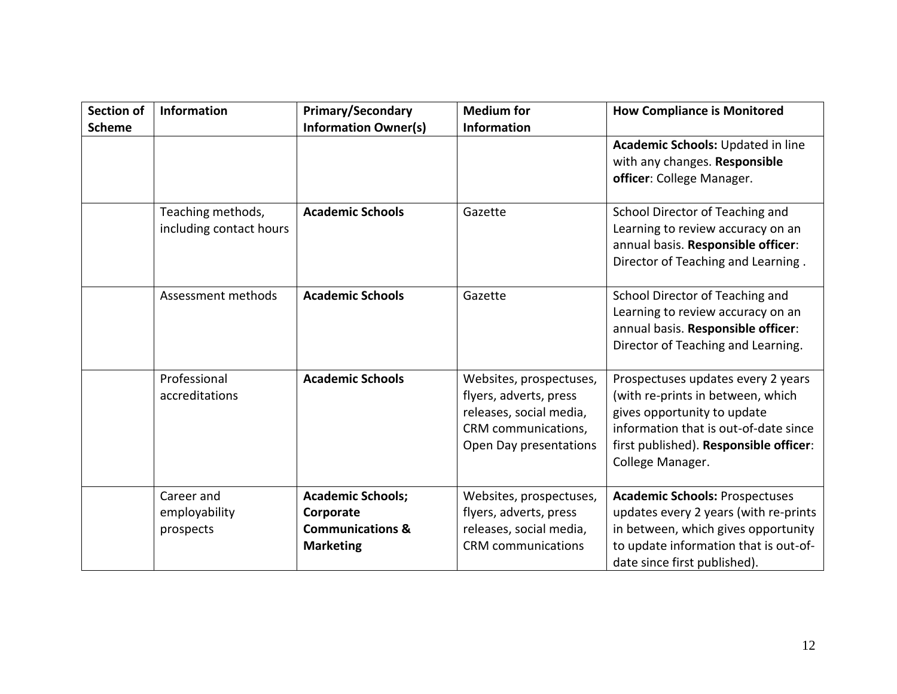| <b>Section of</b><br><b>Scheme</b> | <b>Information</b>                           | <b>Primary/Secondary</b><br><b>Information Owner(s)</b>                                  | <b>Medium</b> for<br><b>Information</b>                                                                                       | <b>How Compliance is Monitored</b>                                                                                                                                                                            |
|------------------------------------|----------------------------------------------|------------------------------------------------------------------------------------------|-------------------------------------------------------------------------------------------------------------------------------|---------------------------------------------------------------------------------------------------------------------------------------------------------------------------------------------------------------|
|                                    |                                              |                                                                                          |                                                                                                                               | Academic Schools: Updated in line<br>with any changes. Responsible<br>officer: College Manager.                                                                                                               |
|                                    | Teaching methods,<br>including contact hours | <b>Academic Schools</b>                                                                  | Gazette                                                                                                                       | School Director of Teaching and<br>Learning to review accuracy on an<br>annual basis. Responsible officer:<br>Director of Teaching and Learning.                                                              |
|                                    | Assessment methods                           | <b>Academic Schools</b>                                                                  | Gazette                                                                                                                       | School Director of Teaching and<br>Learning to review accuracy on an<br>annual basis. Responsible officer:<br>Director of Teaching and Learning.                                                              |
|                                    | Professional<br>accreditations               | <b>Academic Schools</b>                                                                  | Websites, prospectuses,<br>flyers, adverts, press<br>releases, social media,<br>CRM communications,<br>Open Day presentations | Prospectuses updates every 2 years<br>(with re-prints in between, which<br>gives opportunity to update<br>information that is out-of-date since<br>first published). Responsible officer:<br>College Manager. |
|                                    | Career and<br>employability<br>prospects     | <b>Academic Schools;</b><br>Corporate<br><b>Communications &amp;</b><br><b>Marketing</b> | Websites, prospectuses,<br>flyers, adverts, press<br>releases, social media,<br><b>CRM</b> communications                     | <b>Academic Schools: Prospectuses</b><br>updates every 2 years (with re-prints<br>in between, which gives opportunity<br>to update information that is out-of-<br>date since first published).                |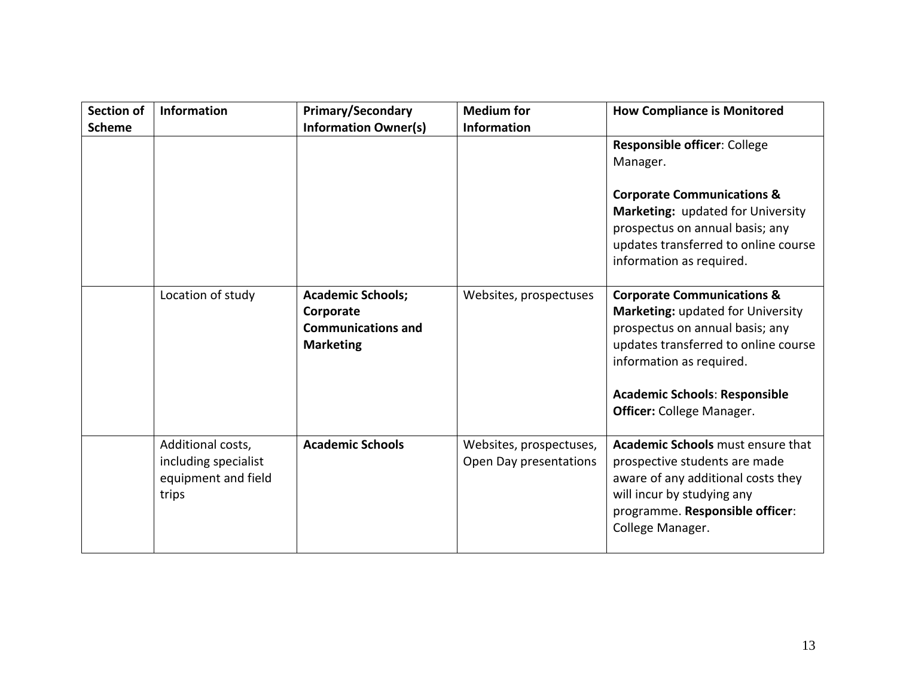| Section of<br><b>Scheme</b> | <b>Information</b>                                                        | <b>Primary/Secondary</b><br><b>Information Owner(s)</b>                                | <b>Medium for</b><br><b>Information</b>           | <b>How Compliance is Monitored</b>                                                                                                                                                                                                                                   |
|-----------------------------|---------------------------------------------------------------------------|----------------------------------------------------------------------------------------|---------------------------------------------------|----------------------------------------------------------------------------------------------------------------------------------------------------------------------------------------------------------------------------------------------------------------------|
|                             |                                                                           |                                                                                        |                                                   | Responsible officer: College<br>Manager.                                                                                                                                                                                                                             |
|                             |                                                                           |                                                                                        |                                                   | <b>Corporate Communications &amp;</b><br>Marketing: updated for University<br>prospectus on annual basis; any<br>updates transferred to online course<br>information as required.                                                                                    |
|                             | Location of study                                                         | <b>Academic Schools;</b><br>Corporate<br><b>Communications and</b><br><b>Marketing</b> | Websites, prospectuses                            | <b>Corporate Communications &amp;</b><br><b>Marketing: updated for University</b><br>prospectus on annual basis; any<br>updates transferred to online course<br>information as required.<br><b>Academic Schools: Responsible</b><br><b>Officer:</b> College Manager. |
|                             | Additional costs,<br>including specialist<br>equipment and field<br>trips | <b>Academic Schools</b>                                                                | Websites, prospectuses,<br>Open Day presentations | <b>Academic Schools</b> must ensure that<br>prospective students are made<br>aware of any additional costs they<br>will incur by studying any<br>programme. Responsible officer:<br>College Manager.                                                                 |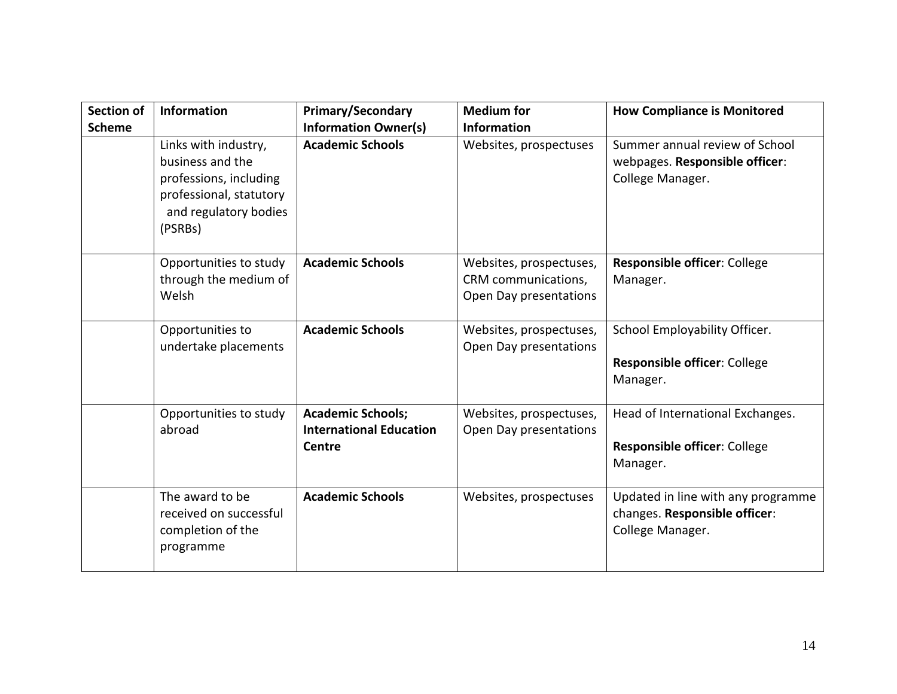| <b>Section of</b><br><b>Scheme</b> | <b>Information</b>                                                                                                                | <b>Primary/Secondary</b><br><b>Information Owner(s)</b>                     | <b>Medium</b> for<br><b>Information</b>                                  | <b>How Compliance is Monitored</b>                                                      |
|------------------------------------|-----------------------------------------------------------------------------------------------------------------------------------|-----------------------------------------------------------------------------|--------------------------------------------------------------------------|-----------------------------------------------------------------------------------------|
|                                    | Links with industry,<br>business and the<br>professions, including<br>professional, statutory<br>and regulatory bodies<br>(PSRBs) | <b>Academic Schools</b>                                                     | Websites, prospectuses                                                   | Summer annual review of School<br>webpages. Responsible officer:<br>College Manager.    |
|                                    | Opportunities to study<br>through the medium of<br>Welsh                                                                          | <b>Academic Schools</b>                                                     | Websites, prospectuses,<br>CRM communications,<br>Open Day presentations | Responsible officer: College<br>Manager.                                                |
|                                    | Opportunities to<br>undertake placements                                                                                          | <b>Academic Schools</b>                                                     | Websites, prospectuses,<br>Open Day presentations                        | School Employability Officer.<br>Responsible officer: College<br>Manager.               |
|                                    | Opportunities to study<br>abroad                                                                                                  | <b>Academic Schools;</b><br><b>International Education</b><br><b>Centre</b> | Websites, prospectuses,<br>Open Day presentations                        | Head of International Exchanges.<br><b>Responsible officer: College</b><br>Manager.     |
|                                    | The award to be<br>received on successful<br>completion of the<br>programme                                                       | <b>Academic Schools</b>                                                     | Websites, prospectuses                                                   | Updated in line with any programme<br>changes. Responsible officer:<br>College Manager. |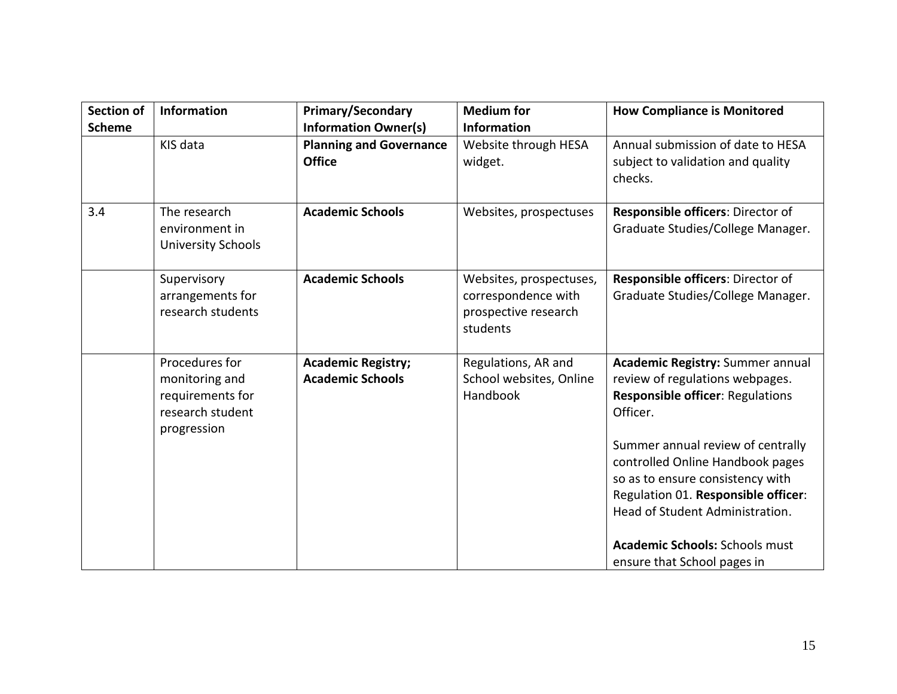| <b>Section of</b><br><b>Scheme</b> | <b>Information</b>                                                                      | <b>Primary/Secondary</b><br><b>Information Owner(s)</b> | <b>Medium</b> for<br><b>Information</b>                                            | <b>How Compliance is Monitored</b>                                                                                                                                                                                                                                                                                                                                                        |
|------------------------------------|-----------------------------------------------------------------------------------------|---------------------------------------------------------|------------------------------------------------------------------------------------|-------------------------------------------------------------------------------------------------------------------------------------------------------------------------------------------------------------------------------------------------------------------------------------------------------------------------------------------------------------------------------------------|
|                                    | KIS data                                                                                | <b>Planning and Governance</b><br><b>Office</b>         | Website through HESA<br>widget.                                                    | Annual submission of date to HESA<br>subject to validation and quality<br>checks.                                                                                                                                                                                                                                                                                                         |
| 3.4                                | The research<br>environment in<br><b>University Schools</b>                             | <b>Academic Schools</b>                                 | Websites, prospectuses                                                             | Responsible officers: Director of<br>Graduate Studies/College Manager.                                                                                                                                                                                                                                                                                                                    |
|                                    | Supervisory<br>arrangements for<br>research students                                    | <b>Academic Schools</b>                                 | Websites, prospectuses,<br>correspondence with<br>prospective research<br>students | Responsible officers: Director of<br>Graduate Studies/College Manager.                                                                                                                                                                                                                                                                                                                    |
|                                    | Procedures for<br>monitoring and<br>requirements for<br>research student<br>progression | <b>Academic Registry;</b><br><b>Academic Schools</b>    | Regulations, AR and<br>School websites, Online<br>Handbook                         | Academic Registry: Summer annual<br>review of regulations webpages.<br><b>Responsible officer: Regulations</b><br>Officer.<br>Summer annual review of centrally<br>controlled Online Handbook pages<br>so as to ensure consistency with<br>Regulation 01. Responsible officer:<br>Head of Student Administration.<br><b>Academic Schools: Schools must</b><br>ensure that School pages in |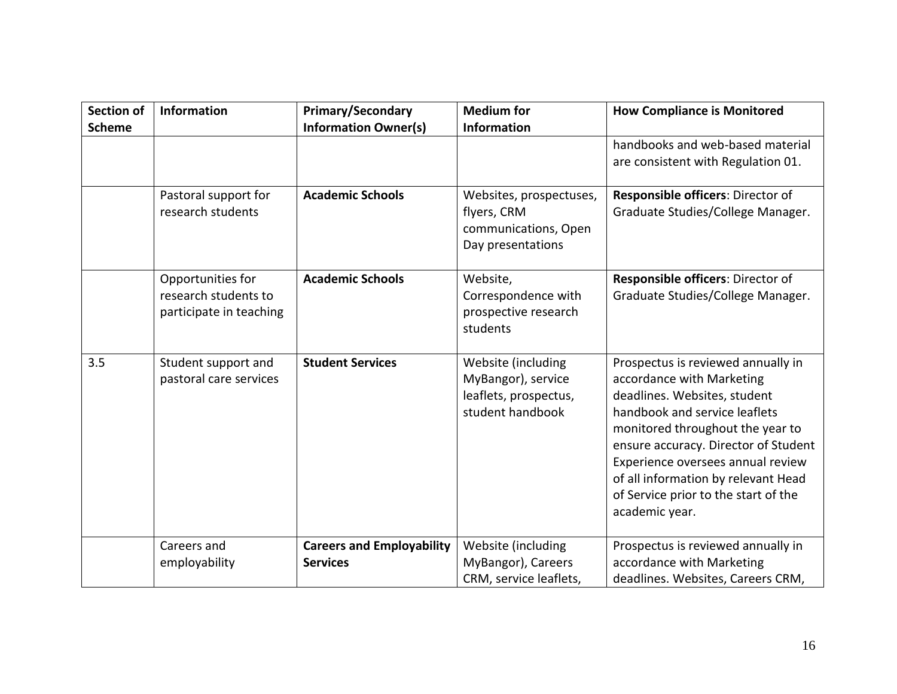| <b>Section of</b> | Information             | <b>Primary/Secondary</b>         | <b>Medium for</b>       | <b>How Compliance is Monitored</b>   |
|-------------------|-------------------------|----------------------------------|-------------------------|--------------------------------------|
| <b>Scheme</b>     |                         | <b>Information Owner(s)</b>      | <b>Information</b>      |                                      |
|                   |                         |                                  |                         | handbooks and web-based material     |
|                   |                         |                                  |                         | are consistent with Regulation 01.   |
|                   |                         |                                  |                         |                                      |
|                   | Pastoral support for    | <b>Academic Schools</b>          | Websites, prospectuses, | Responsible officers: Director of    |
|                   | research students       |                                  | flyers, CRM             | Graduate Studies/College Manager.    |
|                   |                         |                                  | communications, Open    |                                      |
|                   |                         |                                  | Day presentations       |                                      |
|                   | Opportunities for       | <b>Academic Schools</b>          | Website,                | Responsible officers: Director of    |
|                   | research students to    |                                  | Correspondence with     | Graduate Studies/College Manager.    |
|                   | participate in teaching |                                  | prospective research    |                                      |
|                   |                         |                                  | students                |                                      |
|                   |                         |                                  |                         |                                      |
| 3.5               | Student support and     | <b>Student Services</b>          | Website (including      | Prospectus is reviewed annually in   |
|                   | pastoral care services  |                                  | MyBangor), service      | accordance with Marketing            |
|                   |                         |                                  | leaflets, prospectus,   | deadlines. Websites, student         |
|                   |                         |                                  | student handbook        | handbook and service leaflets        |
|                   |                         |                                  |                         | monitored throughout the year to     |
|                   |                         |                                  |                         | ensure accuracy. Director of Student |
|                   |                         |                                  |                         | Experience oversees annual review    |
|                   |                         |                                  |                         | of all information by relevant Head  |
|                   |                         |                                  |                         | of Service prior to the start of the |
|                   |                         |                                  |                         | academic year.                       |
|                   |                         |                                  |                         |                                      |
|                   | Careers and             | <b>Careers and Employability</b> | Website (including      | Prospectus is reviewed annually in   |
|                   | employability           | <b>Services</b>                  | MyBangor), Careers      | accordance with Marketing            |
|                   |                         |                                  | CRM, service leaflets,  | deadlines. Websites, Careers CRM,    |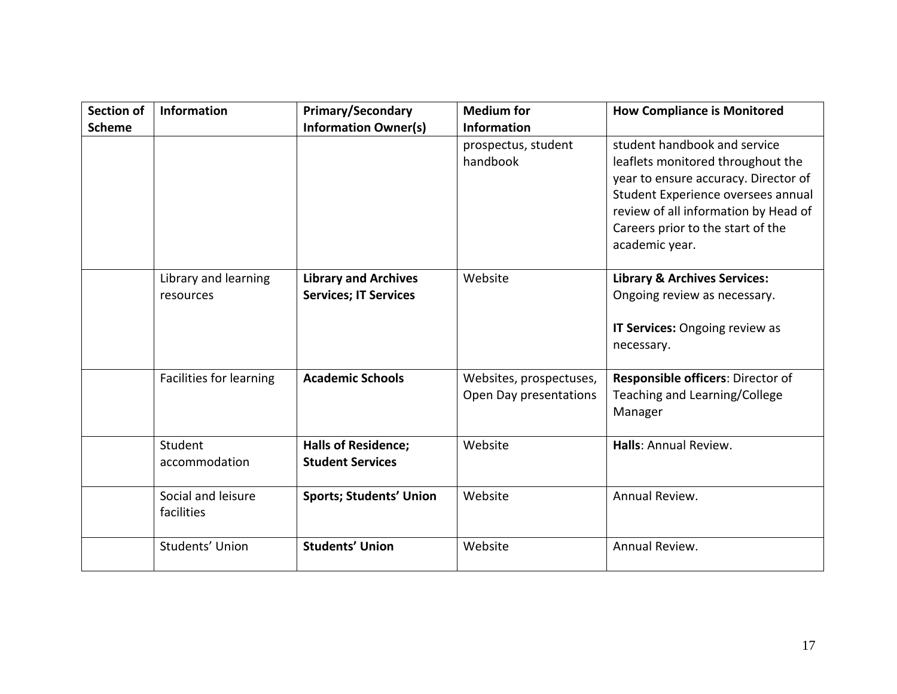| <b>Section of</b> | <b>Information</b>                | <b>Primary/Secondary</b>                                    | <b>Medium</b> for                                 | <b>How Compliance is Monitored</b>                                                                                                                                                                                                             |
|-------------------|-----------------------------------|-------------------------------------------------------------|---------------------------------------------------|------------------------------------------------------------------------------------------------------------------------------------------------------------------------------------------------------------------------------------------------|
| <b>Scheme</b>     |                                   | <b>Information Owner(s)</b>                                 | <b>Information</b>                                |                                                                                                                                                                                                                                                |
|                   |                                   |                                                             | prospectus, student<br>handbook                   | student handbook and service<br>leaflets monitored throughout the<br>year to ensure accuracy. Director of<br>Student Experience oversees annual<br>review of all information by Head of<br>Careers prior to the start of the<br>academic year. |
|                   | Library and learning<br>resources | <b>Library and Archives</b><br><b>Services; IT Services</b> | Website                                           | <b>Library &amp; Archives Services:</b><br>Ongoing review as necessary.<br>IT Services: Ongoing review as<br>necessary.                                                                                                                        |
|                   | Facilities for learning           | <b>Academic Schools</b>                                     | Websites, prospectuses,<br>Open Day presentations | Responsible officers: Director of<br>Teaching and Learning/College<br>Manager                                                                                                                                                                  |
|                   | Student<br>accommodation          | <b>Halls of Residence;</b><br><b>Student Services</b>       | Website                                           | Halls: Annual Review.                                                                                                                                                                                                                          |
|                   | Social and leisure<br>facilities  | <b>Sports; Students' Union</b>                              | Website                                           | Annual Review.                                                                                                                                                                                                                                 |
|                   | Students' Union                   | <b>Students' Union</b>                                      | Website                                           | Annual Review.                                                                                                                                                                                                                                 |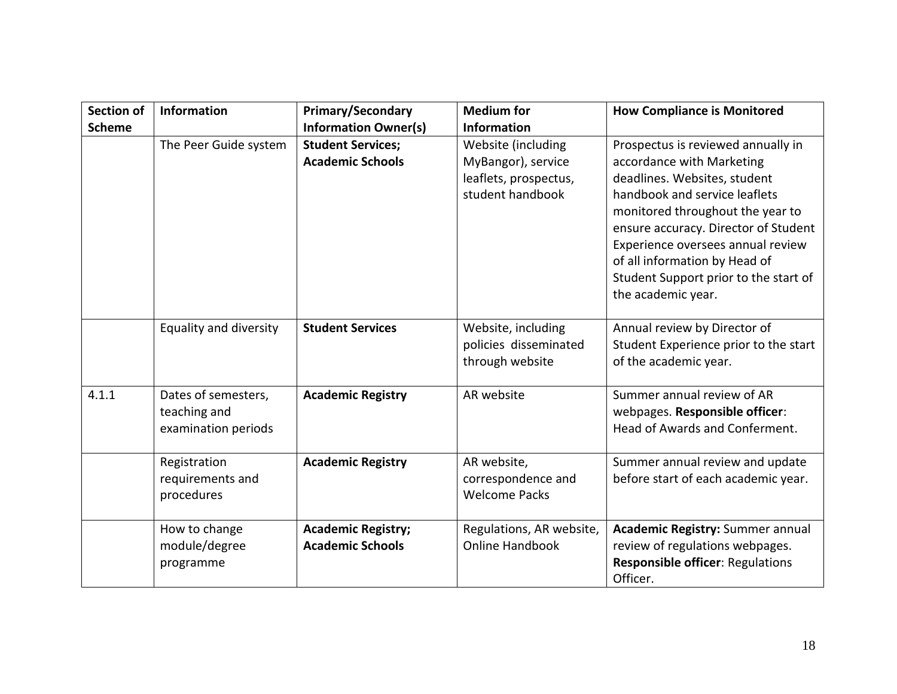| <b>Section of</b> | Information                                                | <b>Primary/Secondary</b>                             | <b>Medium for</b>                                                                     | <b>How Compliance is Monitored</b>                                                                                                                                                                                                                                                                                                                |
|-------------------|------------------------------------------------------------|------------------------------------------------------|---------------------------------------------------------------------------------------|---------------------------------------------------------------------------------------------------------------------------------------------------------------------------------------------------------------------------------------------------------------------------------------------------------------------------------------------------|
| <b>Scheme</b>     |                                                            | <b>Information Owner(s)</b>                          | <b>Information</b>                                                                    |                                                                                                                                                                                                                                                                                                                                                   |
|                   | The Peer Guide system                                      | <b>Student Services;</b><br><b>Academic Schools</b>  | Website (including<br>MyBangor), service<br>leaflets, prospectus,<br>student handbook | Prospectus is reviewed annually in<br>accordance with Marketing<br>deadlines. Websites, student<br>handbook and service leaflets<br>monitored throughout the year to<br>ensure accuracy. Director of Student<br>Experience oversees annual review<br>of all information by Head of<br>Student Support prior to the start of<br>the academic year. |
|                   | Equality and diversity                                     | <b>Student Services</b>                              | Website, including<br>policies disseminated<br>through website                        | Annual review by Director of<br>Student Experience prior to the start<br>of the academic year.                                                                                                                                                                                                                                                    |
| 4.1.1             | Dates of semesters,<br>teaching and<br>examination periods | <b>Academic Registry</b>                             | AR website                                                                            | Summer annual review of AR<br>webpages. Responsible officer:<br>Head of Awards and Conferment.                                                                                                                                                                                                                                                    |
|                   | Registration<br>requirements and<br>procedures             | <b>Academic Registry</b>                             | AR website,<br>correspondence and<br><b>Welcome Packs</b>                             | Summer annual review and update<br>before start of each academic year.                                                                                                                                                                                                                                                                            |
|                   | How to change<br>module/degree<br>programme                | <b>Academic Registry;</b><br><b>Academic Schools</b> | Regulations, AR website,<br><b>Online Handbook</b>                                    | <b>Academic Registry: Summer annual</b><br>review of regulations webpages.<br><b>Responsible officer: Regulations</b><br>Officer.                                                                                                                                                                                                                 |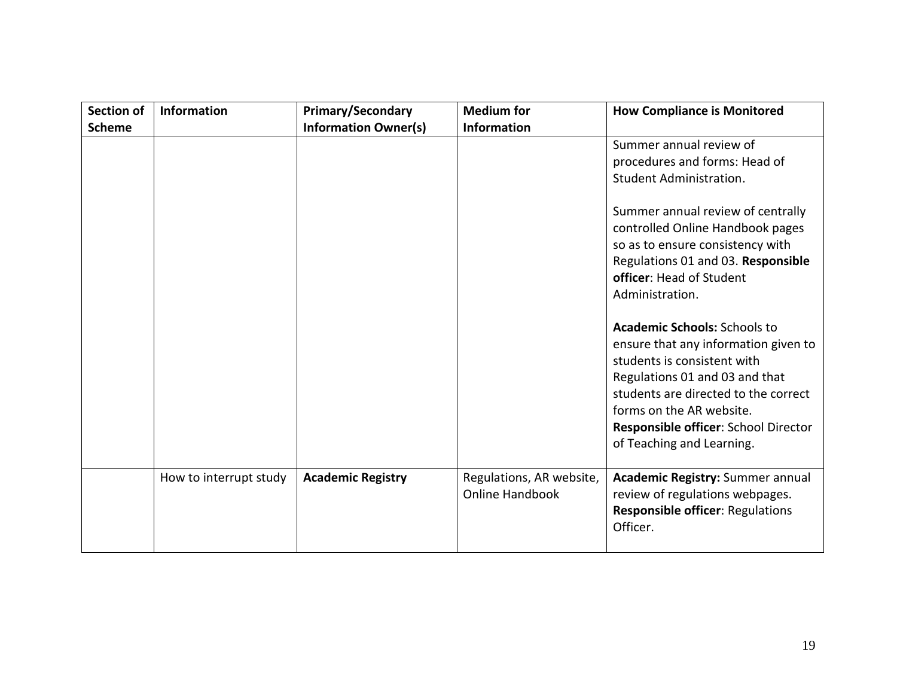| <b>Section of</b><br><b>Scheme</b> | Information            | <b>Primary/Secondary</b><br><b>Information Owner(s)</b> | <b>Medium for</b><br><b>Information</b>            | <b>How Compliance is Monitored</b>                                                                                                                                                                                                                                                    |
|------------------------------------|------------------------|---------------------------------------------------------|----------------------------------------------------|---------------------------------------------------------------------------------------------------------------------------------------------------------------------------------------------------------------------------------------------------------------------------------------|
|                                    |                        |                                                         |                                                    | Summer annual review of<br>procedures and forms: Head of<br>Student Administration.                                                                                                                                                                                                   |
|                                    |                        |                                                         |                                                    | Summer annual review of centrally<br>controlled Online Handbook pages<br>so as to ensure consistency with<br>Regulations 01 and 03. Responsible<br>officer: Head of Student<br>Administration.                                                                                        |
|                                    |                        |                                                         |                                                    | <b>Academic Schools: Schools to</b><br>ensure that any information given to<br>students is consistent with<br>Regulations 01 and 03 and that<br>students are directed to the correct<br>forms on the AR website.<br>Responsible officer: School Director<br>of Teaching and Learning. |
|                                    | How to interrupt study | <b>Academic Registry</b>                                | Regulations, AR website,<br><b>Online Handbook</b> | <b>Academic Registry: Summer annual</b><br>review of regulations webpages.<br>Responsible officer: Regulations<br>Officer.                                                                                                                                                            |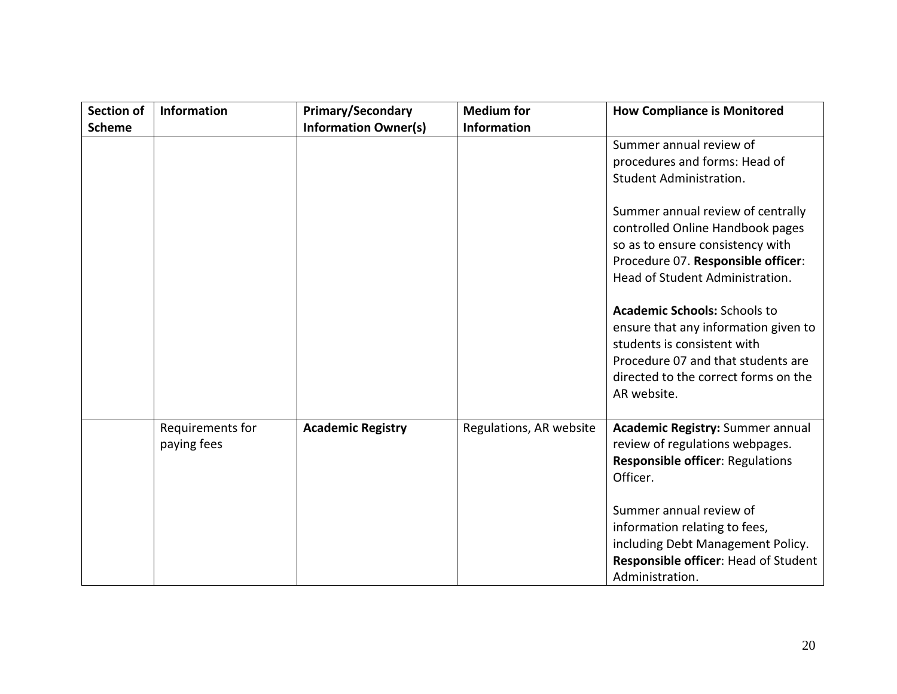| <b>Section of</b> | <b>Information</b>              | Primary/Secondary           | <b>Medium for</b>       | <b>How Compliance is Monitored</b>                                                                                                                                                                                                                                                                                                                                                                                                                                    |
|-------------------|---------------------------------|-----------------------------|-------------------------|-----------------------------------------------------------------------------------------------------------------------------------------------------------------------------------------------------------------------------------------------------------------------------------------------------------------------------------------------------------------------------------------------------------------------------------------------------------------------|
| <b>Scheme</b>     |                                 | <b>Information Owner(s)</b> | <b>Information</b>      | Summer annual review of<br>procedures and forms: Head of<br>Student Administration.<br>Summer annual review of centrally<br>controlled Online Handbook pages<br>so as to ensure consistency with<br>Procedure 07. Responsible officer:<br>Head of Student Administration.<br><b>Academic Schools: Schools to</b><br>ensure that any information given to<br>students is consistent with<br>Procedure 07 and that students are<br>directed to the correct forms on the |
|                   |                                 |                             |                         | AR website.                                                                                                                                                                                                                                                                                                                                                                                                                                                           |
|                   | Requirements for<br>paying fees | <b>Academic Registry</b>    | Regulations, AR website | <b>Academic Registry: Summer annual</b><br>review of regulations webpages.<br><b>Responsible officer: Regulations</b><br>Officer.                                                                                                                                                                                                                                                                                                                                     |
|                   |                                 |                             |                         | Summer annual review of<br>information relating to fees,<br>including Debt Management Policy.<br>Responsible officer: Head of Student<br>Administration.                                                                                                                                                                                                                                                                                                              |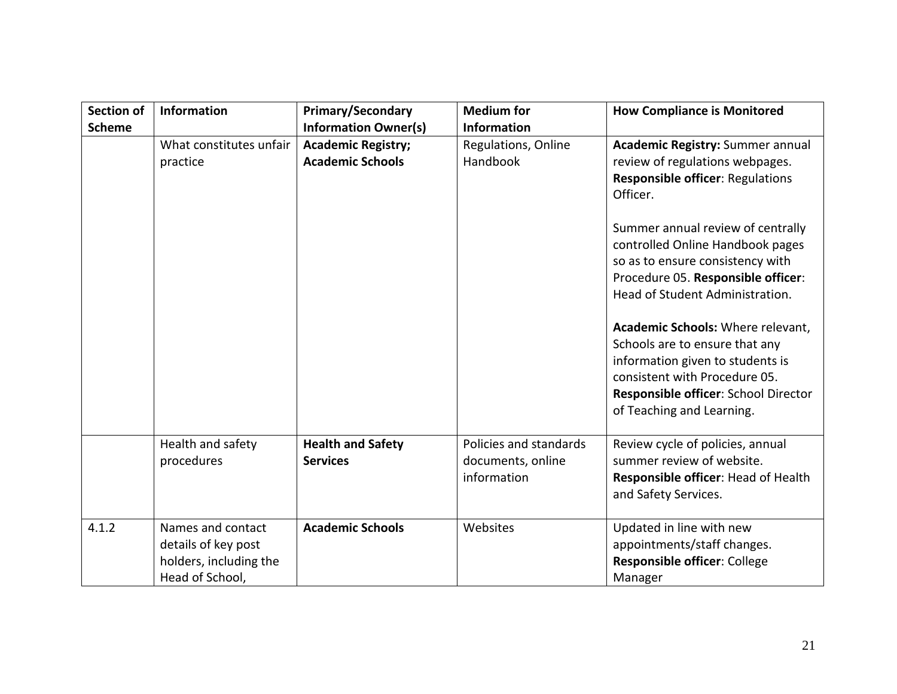| <b>Section of</b><br><b>Scheme</b> | Information                                                                           | <b>Primary/Secondary</b><br><b>Information Owner(s)</b> | <b>Medium for</b><br><b>Information</b>                    | <b>How Compliance is Monitored</b>                                                                                                                                                                                                                                                                                                                                                                  |
|------------------------------------|---------------------------------------------------------------------------------------|---------------------------------------------------------|------------------------------------------------------------|-----------------------------------------------------------------------------------------------------------------------------------------------------------------------------------------------------------------------------------------------------------------------------------------------------------------------------------------------------------------------------------------------------|
|                                    | What constitutes unfair<br>practice                                                   | <b>Academic Registry;</b><br><b>Academic Schools</b>    | Regulations, Online<br><b>Handbook</b>                     | <b>Academic Registry: Summer annual</b><br>review of regulations webpages.<br><b>Responsible officer: Regulations</b><br>Officer.                                                                                                                                                                                                                                                                   |
|                                    |                                                                                       |                                                         |                                                            | Summer annual review of centrally<br>controlled Online Handbook pages<br>so as to ensure consistency with<br>Procedure 05. Responsible officer:<br>Head of Student Administration.<br>Academic Schools: Where relevant,<br>Schools are to ensure that any<br>information given to students is<br>consistent with Procedure 05.<br>Responsible officer: School Director<br>of Teaching and Learning. |
|                                    | Health and safety<br>procedures                                                       | <b>Health and Safety</b><br><b>Services</b>             | Policies and standards<br>documents, online<br>information | Review cycle of policies, annual<br>summer review of website.<br>Responsible officer: Head of Health<br>and Safety Services.                                                                                                                                                                                                                                                                        |
| 4.1.2                              | Names and contact<br>details of key post<br>holders, including the<br>Head of School, | <b>Academic Schools</b>                                 | Websites                                                   | Updated in line with new<br>appointments/staff changes.<br>Responsible officer: College<br>Manager                                                                                                                                                                                                                                                                                                  |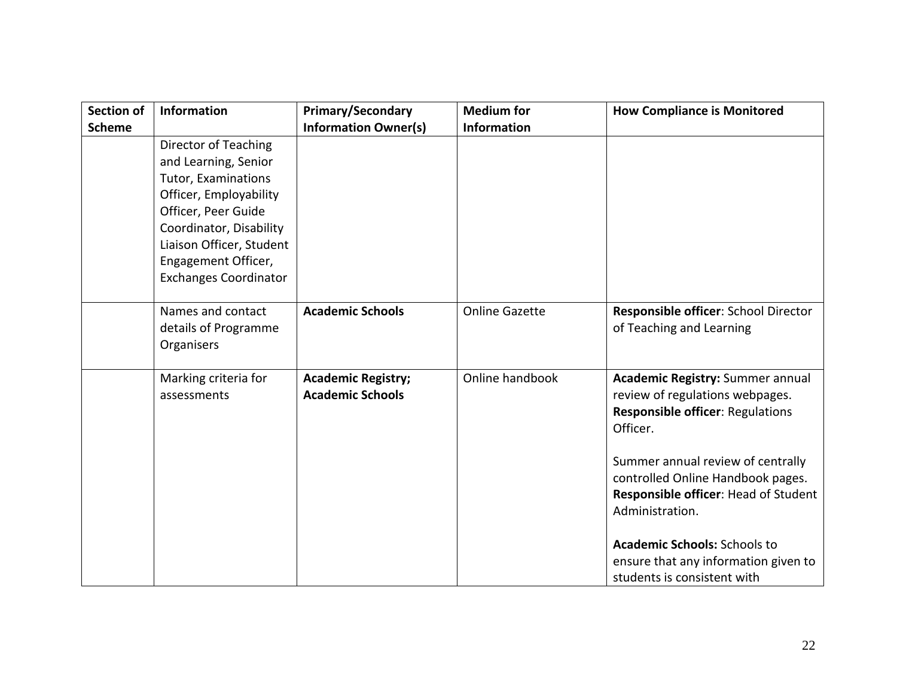| Section of    | Information                                                                                                                                                                                                                        | <b>Primary/Secondary</b>                             | <b>Medium for</b>     | <b>How Compliance is Monitored</b>                                                                                                                                                                                                                                                                                                                                                   |
|---------------|------------------------------------------------------------------------------------------------------------------------------------------------------------------------------------------------------------------------------------|------------------------------------------------------|-----------------------|--------------------------------------------------------------------------------------------------------------------------------------------------------------------------------------------------------------------------------------------------------------------------------------------------------------------------------------------------------------------------------------|
| <b>Scheme</b> |                                                                                                                                                                                                                                    | <b>Information Owner(s)</b>                          | <b>Information</b>    |                                                                                                                                                                                                                                                                                                                                                                                      |
|               | Director of Teaching<br>and Learning, Senior<br>Tutor, Examinations<br>Officer, Employability<br>Officer, Peer Guide<br>Coordinator, Disability<br>Liaison Officer, Student<br>Engagement Officer,<br><b>Exchanges Coordinator</b> |                                                      |                       |                                                                                                                                                                                                                                                                                                                                                                                      |
|               | Names and contact<br>details of Programme<br>Organisers                                                                                                                                                                            | <b>Academic Schools</b>                              | <b>Online Gazette</b> | Responsible officer: School Director<br>of Teaching and Learning                                                                                                                                                                                                                                                                                                                     |
|               | Marking criteria for<br>assessments                                                                                                                                                                                                | <b>Academic Registry;</b><br><b>Academic Schools</b> | Online handbook       | <b>Academic Registry: Summer annual</b><br>review of regulations webpages.<br><b>Responsible officer: Regulations</b><br>Officer.<br>Summer annual review of centrally<br>controlled Online Handbook pages.<br>Responsible officer: Head of Student<br>Administration.<br><b>Academic Schools: Schools to</b><br>ensure that any information given to<br>students is consistent with |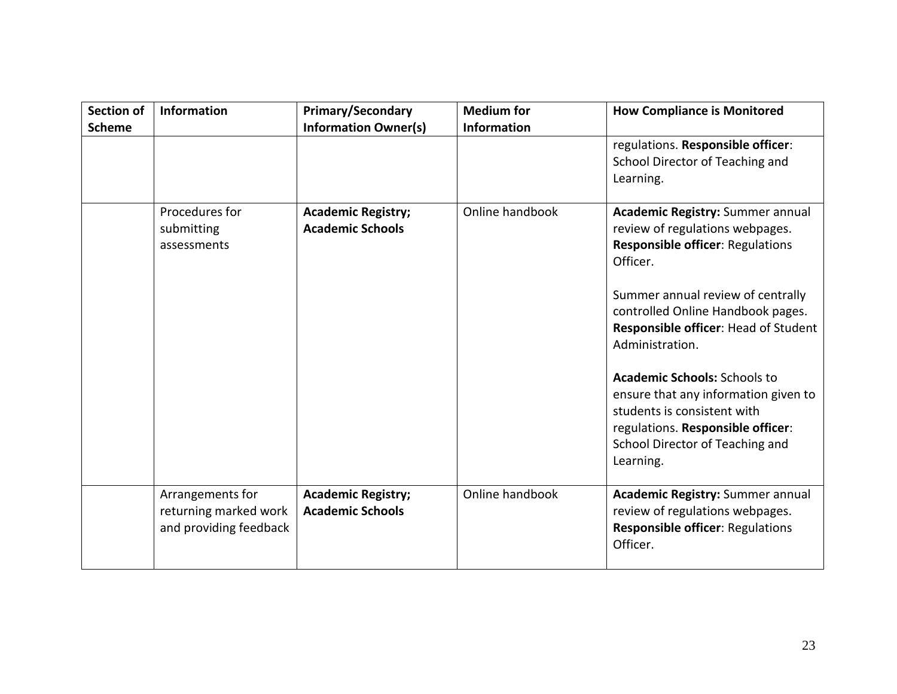| <b>Section of</b><br><b>Scheme</b> | <b>Information</b>                                                  | <b>Primary/Secondary</b><br><b>Information Owner(s)</b> | <b>Medium for</b><br><b>Information</b> | <b>How Compliance is Monitored</b>                                                                                                                                                                                                                                                                                                                                                                                                                                 |
|------------------------------------|---------------------------------------------------------------------|---------------------------------------------------------|-----------------------------------------|--------------------------------------------------------------------------------------------------------------------------------------------------------------------------------------------------------------------------------------------------------------------------------------------------------------------------------------------------------------------------------------------------------------------------------------------------------------------|
|                                    |                                                                     |                                                         |                                         | regulations. Responsible officer:<br>School Director of Teaching and<br>Learning.                                                                                                                                                                                                                                                                                                                                                                                  |
|                                    | Procedures for<br>submitting<br>assessments                         | <b>Academic Registry;</b><br><b>Academic Schools</b>    | Online handbook                         | Academic Registry: Summer annual<br>review of regulations webpages.<br><b>Responsible officer: Regulations</b><br>Officer.<br>Summer annual review of centrally<br>controlled Online Handbook pages.<br>Responsible officer: Head of Student<br>Administration.<br><b>Academic Schools: Schools to</b><br>ensure that any information given to<br>students is consistent with<br>regulations. Responsible officer:<br>School Director of Teaching and<br>Learning. |
|                                    | Arrangements for<br>returning marked work<br>and providing feedback | <b>Academic Registry;</b><br><b>Academic Schools</b>    | Online handbook                         | Academic Registry: Summer annual<br>review of regulations webpages.<br><b>Responsible officer: Regulations</b><br>Officer.                                                                                                                                                                                                                                                                                                                                         |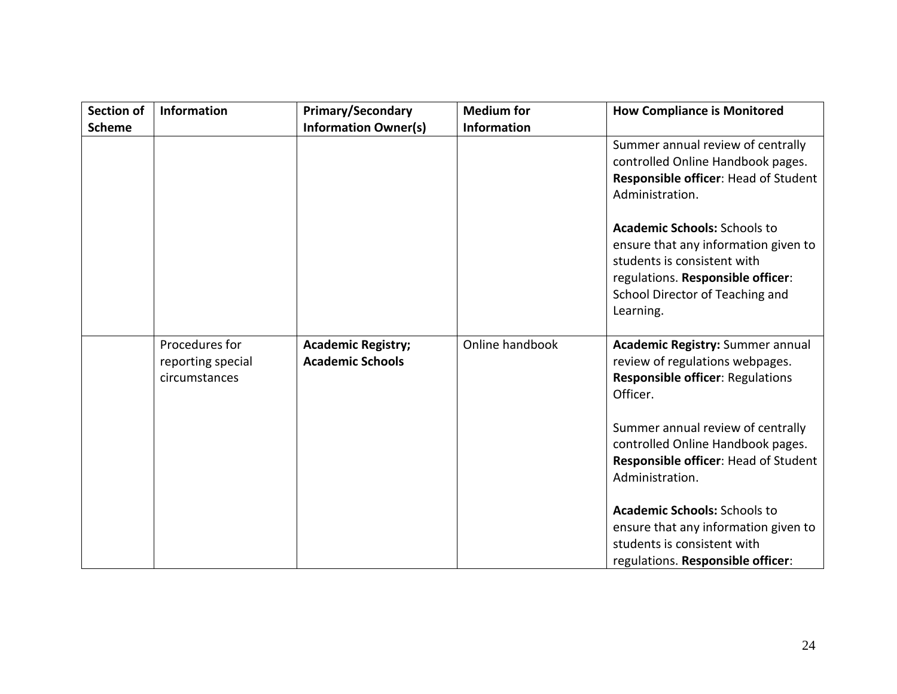| <b>Section of</b> | <b>Information</b>                                   | <b>Primary/Secondary</b>                             | <b>Medium for</b>  | <b>How Compliance is Monitored</b>                                                                                                                                                                                                                                     |
|-------------------|------------------------------------------------------|------------------------------------------------------|--------------------|------------------------------------------------------------------------------------------------------------------------------------------------------------------------------------------------------------------------------------------------------------------------|
| <b>Scheme</b>     |                                                      | <b>Information Owner(s)</b>                          | <b>Information</b> |                                                                                                                                                                                                                                                                        |
|                   |                                                      |                                                      |                    | Summer annual review of centrally<br>controlled Online Handbook pages.<br>Responsible officer: Head of Student<br>Administration.                                                                                                                                      |
|                   |                                                      |                                                      |                    | <b>Academic Schools: Schools to</b><br>ensure that any information given to<br>students is consistent with<br>regulations. Responsible officer:<br>School Director of Teaching and<br>Learning.                                                                        |
|                   | Procedures for<br>reporting special<br>circumstances | <b>Academic Registry;</b><br><b>Academic Schools</b> | Online handbook    | <b>Academic Registry: Summer annual</b><br>review of regulations webpages.<br><b>Responsible officer: Regulations</b><br>Officer.<br>Summer annual review of centrally<br>controlled Online Handbook pages.<br>Responsible officer: Head of Student<br>Administration. |
|                   |                                                      |                                                      |                    | <b>Academic Schools: Schools to</b><br>ensure that any information given to<br>students is consistent with<br>regulations. Responsible officer:                                                                                                                        |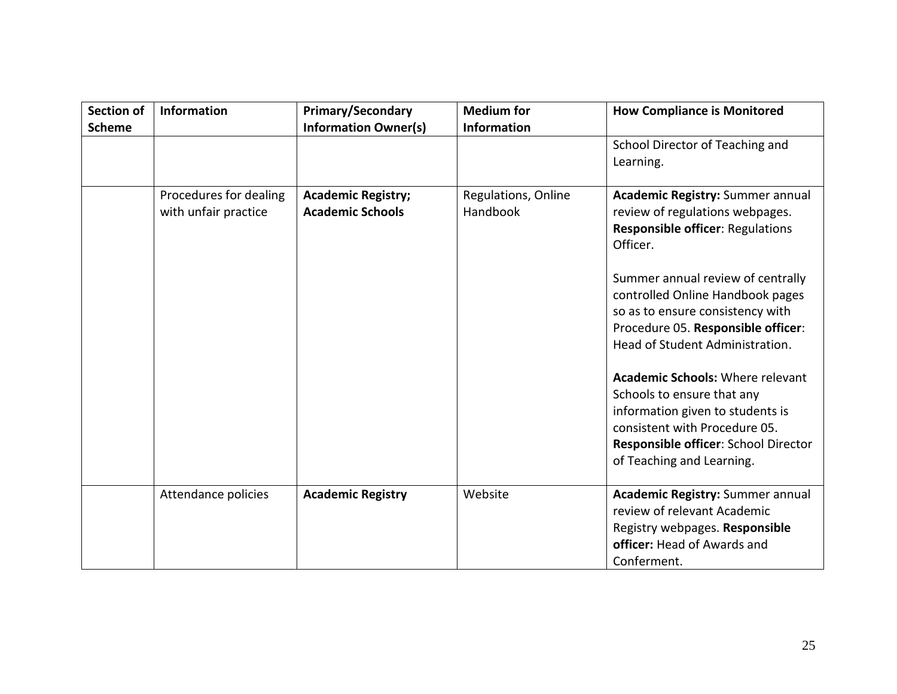| <b>Section of</b><br><b>Scheme</b> | <b>Information</b>                             | <b>Primary/Secondary</b><br><b>Information Owner(s)</b> | <b>Medium for</b><br><b>Information</b> | <b>How Compliance is Monitored</b>                                                                                                                                                                                                                                                                                                                                                                                                                                                                                                         |
|------------------------------------|------------------------------------------------|---------------------------------------------------------|-----------------------------------------|--------------------------------------------------------------------------------------------------------------------------------------------------------------------------------------------------------------------------------------------------------------------------------------------------------------------------------------------------------------------------------------------------------------------------------------------------------------------------------------------------------------------------------------------|
|                                    |                                                |                                                         |                                         | School Director of Teaching and<br>Learning.                                                                                                                                                                                                                                                                                                                                                                                                                                                                                               |
|                                    | Procedures for dealing<br>with unfair practice | <b>Academic Registry;</b><br><b>Academic Schools</b>    | Regulations, Online<br>Handbook         | <b>Academic Registry: Summer annual</b><br>review of regulations webpages.<br><b>Responsible officer: Regulations</b><br>Officer.<br>Summer annual review of centrally<br>controlled Online Handbook pages<br>so as to ensure consistency with<br>Procedure 05. Responsible officer:<br>Head of Student Administration.<br><b>Academic Schools: Where relevant</b><br>Schools to ensure that any<br>information given to students is<br>consistent with Procedure 05.<br>Responsible officer: School Director<br>of Teaching and Learning. |
|                                    | Attendance policies                            | <b>Academic Registry</b>                                | Website                                 | <b>Academic Registry: Summer annual</b><br>review of relevant Academic<br>Registry webpages. Responsible<br>officer: Head of Awards and<br>Conferment.                                                                                                                                                                                                                                                                                                                                                                                     |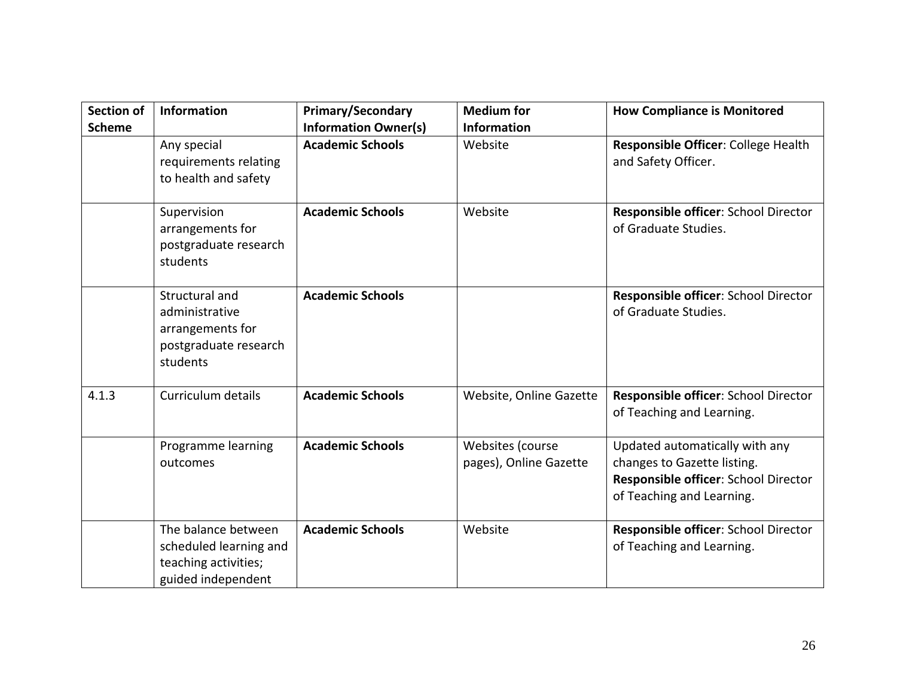| <b>Section of</b><br><b>Scheme</b> | <b>Information</b>                                                                          | <b>Primary/Secondary</b><br><b>Information Owner(s)</b> | <b>Medium for</b><br><b>Information</b>    | <b>How Compliance is Monitored</b>                                                                                                 |
|------------------------------------|---------------------------------------------------------------------------------------------|---------------------------------------------------------|--------------------------------------------|------------------------------------------------------------------------------------------------------------------------------------|
|                                    | Any special<br>requirements relating<br>to health and safety                                | <b>Academic Schools</b>                                 | Website                                    | Responsible Officer: College Health<br>and Safety Officer.                                                                         |
|                                    | Supervision<br>arrangements for<br>postgraduate research<br>students                        | <b>Academic Schools</b>                                 | Website                                    | Responsible officer: School Director<br>of Graduate Studies.                                                                       |
|                                    | Structural and<br>administrative<br>arrangements for<br>postgraduate research<br>students   | <b>Academic Schools</b>                                 |                                            | Responsible officer: School Director<br>of Graduate Studies.                                                                       |
| 4.1.3                              | Curriculum details                                                                          | <b>Academic Schools</b>                                 | Website, Online Gazette                    | Responsible officer: School Director<br>of Teaching and Learning.                                                                  |
|                                    | Programme learning<br>outcomes                                                              | <b>Academic Schools</b>                                 | Websites (course<br>pages), Online Gazette | Updated automatically with any<br>changes to Gazette listing.<br>Responsible officer: School Director<br>of Teaching and Learning. |
|                                    | The balance between<br>scheduled learning and<br>teaching activities;<br>guided independent | <b>Academic Schools</b>                                 | Website                                    | Responsible officer: School Director<br>of Teaching and Learning.                                                                  |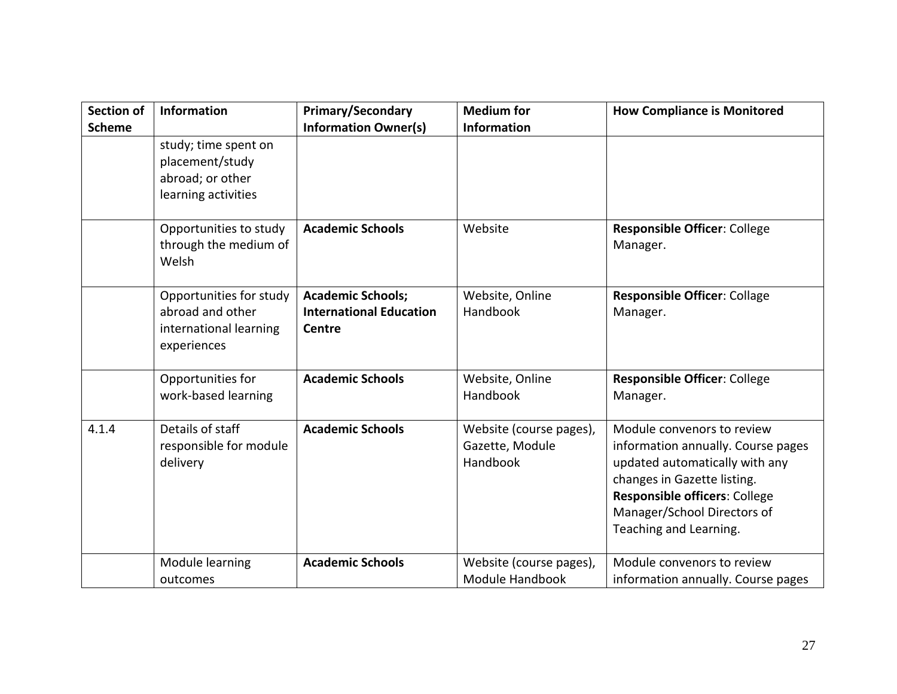| <b>Section of</b> | Information                                                                          | <b>Primary/Secondary</b>                                                    | <b>Medium</b> for                                      | <b>How Compliance is Monitored</b>                                                                                                                                                                                                 |
|-------------------|--------------------------------------------------------------------------------------|-----------------------------------------------------------------------------|--------------------------------------------------------|------------------------------------------------------------------------------------------------------------------------------------------------------------------------------------------------------------------------------------|
| <b>Scheme</b>     |                                                                                      | <b>Information Owner(s)</b>                                                 | <b>Information</b>                                     |                                                                                                                                                                                                                                    |
|                   | study; time spent on<br>placement/study<br>abroad; or other<br>learning activities   |                                                                             |                                                        |                                                                                                                                                                                                                                    |
|                   | Opportunities to study<br>through the medium of<br>Welsh                             | <b>Academic Schools</b>                                                     | Website                                                | <b>Responsible Officer: College</b><br>Manager.                                                                                                                                                                                    |
|                   | Opportunities for study<br>abroad and other<br>international learning<br>experiences | <b>Academic Schools;</b><br><b>International Education</b><br><b>Centre</b> | Website, Online<br>Handbook                            | <b>Responsible Officer: Collage</b><br>Manager.                                                                                                                                                                                    |
|                   | Opportunities for<br>work-based learning                                             | <b>Academic Schools</b>                                                     | Website, Online<br>Handbook                            | Responsible Officer: College<br>Manager.                                                                                                                                                                                           |
| 4.1.4             | Details of staff<br>responsible for module<br>delivery                               | <b>Academic Schools</b>                                                     | Website (course pages),<br>Gazette, Module<br>Handbook | Module convenors to review<br>information annually. Course pages<br>updated automatically with any<br>changes in Gazette listing.<br><b>Responsible officers: College</b><br>Manager/School Directors of<br>Teaching and Learning. |
|                   | Module learning<br>outcomes                                                          | <b>Academic Schools</b>                                                     | Website (course pages),<br>Module Handbook             | Module convenors to review<br>information annually. Course pages                                                                                                                                                                   |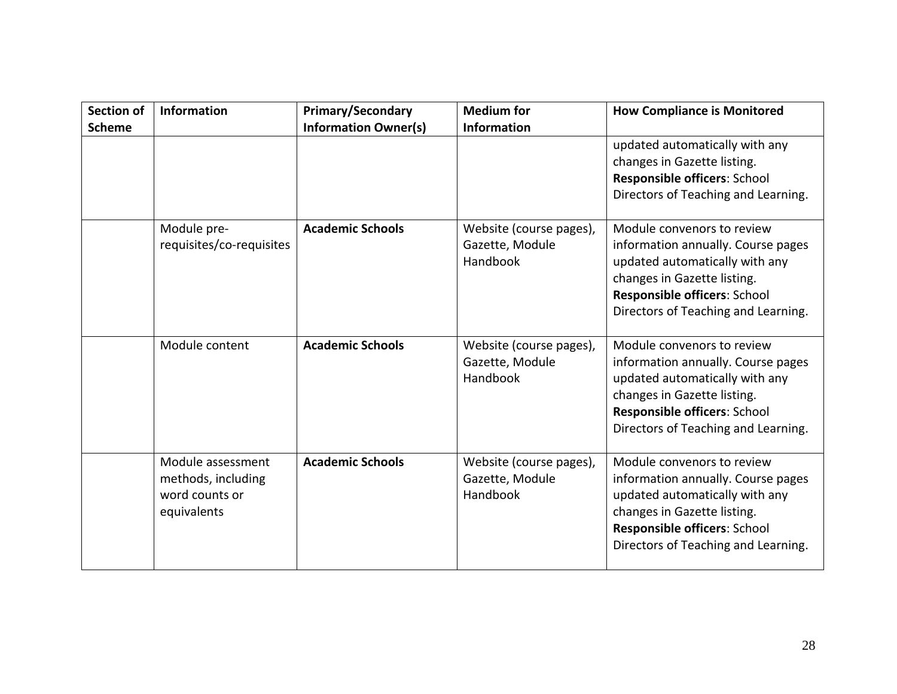| <b>Section of</b> | <b>Information</b>                                                       | <b>Primary/Secondary</b>    | <b>Medium for</b>                                      | <b>How Compliance is Monitored</b>                                                                                                                                                                       |
|-------------------|--------------------------------------------------------------------------|-----------------------------|--------------------------------------------------------|----------------------------------------------------------------------------------------------------------------------------------------------------------------------------------------------------------|
| <b>Scheme</b>     |                                                                          | <b>Information Owner(s)</b> | <b>Information</b>                                     |                                                                                                                                                                                                          |
|                   |                                                                          |                             |                                                        | updated automatically with any<br>changes in Gazette listing.<br>Responsible officers: School<br>Directors of Teaching and Learning.                                                                     |
|                   | Module pre-<br>requisites/co-requisites                                  | <b>Academic Schools</b>     | Website (course pages),<br>Gazette, Module<br>Handbook | Module convenors to review<br>information annually. Course pages<br>updated automatically with any<br>changes in Gazette listing.<br>Responsible officers: School<br>Directors of Teaching and Learning. |
|                   | Module content                                                           | <b>Academic Schools</b>     | Website (course pages),<br>Gazette, Module<br>Handbook | Module convenors to review<br>information annually. Course pages<br>updated automatically with any<br>changes in Gazette listing.<br>Responsible officers: School<br>Directors of Teaching and Learning. |
|                   | Module assessment<br>methods, including<br>word counts or<br>equivalents | <b>Academic Schools</b>     | Website (course pages),<br>Gazette, Module<br>Handbook | Module convenors to review<br>information annually. Course pages<br>updated automatically with any<br>changes in Gazette listing.<br>Responsible officers: School<br>Directors of Teaching and Learning. |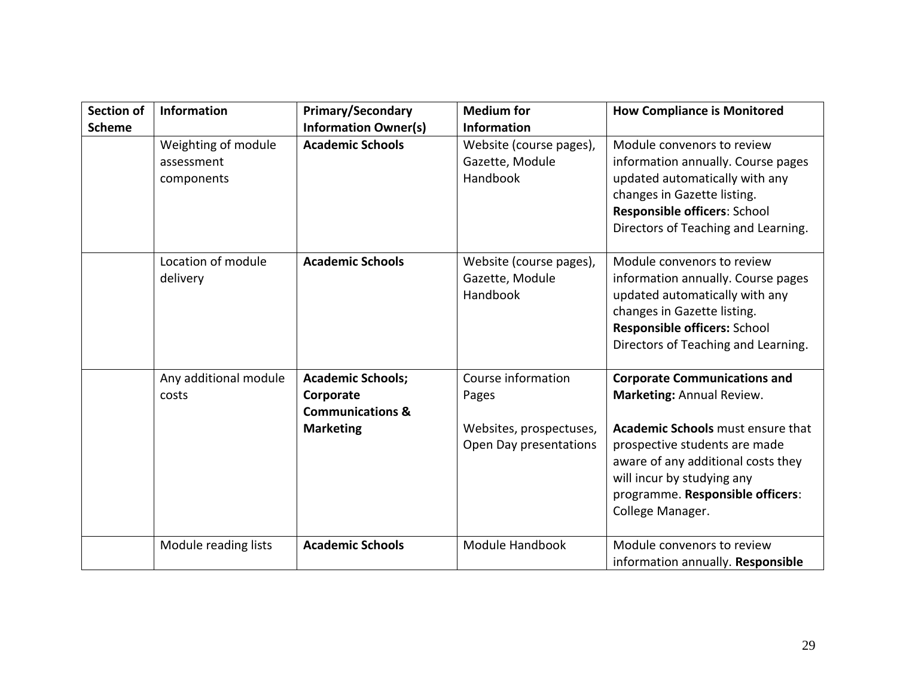| <b>Section of</b><br><b>Scheme</b> | <b>Information</b>                              | <b>Primary/Secondary</b><br><b>Information Owner(s)</b>                                  | <b>Medium for</b><br><b>Information</b>                                          | <b>How Compliance is Monitored</b>                                                                                                                                                                                                                                        |
|------------------------------------|-------------------------------------------------|------------------------------------------------------------------------------------------|----------------------------------------------------------------------------------|---------------------------------------------------------------------------------------------------------------------------------------------------------------------------------------------------------------------------------------------------------------------------|
|                                    | Weighting of module<br>assessment<br>components | <b>Academic Schools</b>                                                                  | Website (course pages),<br>Gazette, Module<br>Handbook                           | Module convenors to review<br>information annually. Course pages<br>updated automatically with any<br>changes in Gazette listing.<br>Responsible officers: School<br>Directors of Teaching and Learning.                                                                  |
|                                    | Location of module<br>delivery                  | <b>Academic Schools</b>                                                                  | Website (course pages),<br>Gazette, Module<br>Handbook                           | Module convenors to review<br>information annually. Course pages<br>updated automatically with any<br>changes in Gazette listing.<br>Responsible officers: School<br>Directors of Teaching and Learning.                                                                  |
|                                    | Any additional module<br>costs                  | <b>Academic Schools;</b><br>Corporate<br><b>Communications &amp;</b><br><b>Marketing</b> | Course information<br>Pages<br>Websites, prospectuses,<br>Open Day presentations | <b>Corporate Communications and</b><br>Marketing: Annual Review.<br><b>Academic Schools</b> must ensure that<br>prospective students are made<br>aware of any additional costs they<br>will incur by studying any<br>programme. Responsible officers:<br>College Manager. |
|                                    | Module reading lists                            | <b>Academic Schools</b>                                                                  | Module Handbook                                                                  | Module convenors to review<br>information annually. Responsible                                                                                                                                                                                                           |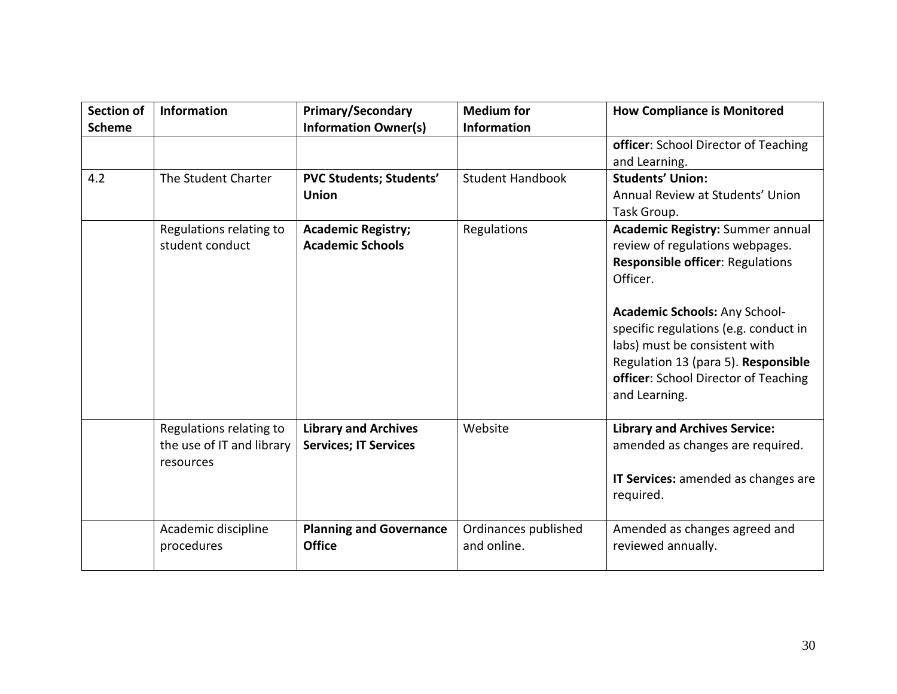| <b>Section of</b> | Information                                                       | <b>Primary/Secondary</b>                                    | <b>Medium</b> for                   | <b>How Compliance is Monitored</b>                                                                                                                                        |
|-------------------|-------------------------------------------------------------------|-------------------------------------------------------------|-------------------------------------|---------------------------------------------------------------------------------------------------------------------------------------------------------------------------|
| <b>Scheme</b>     |                                                                   | <b>Information Owner(s)</b>                                 | <b>Information</b>                  |                                                                                                                                                                           |
|                   |                                                                   |                                                             |                                     | officer: School Director of Teaching                                                                                                                                      |
|                   |                                                                   |                                                             |                                     | and Learning.                                                                                                                                                             |
| 4.2               | The Student Charter                                               | <b>PVC Students; Students'</b>                              | <b>Student Handbook</b>             | <b>Students' Union:</b>                                                                                                                                                   |
|                   |                                                                   | <b>Union</b>                                                |                                     | Annual Review at Students' Union                                                                                                                                          |
|                   |                                                                   |                                                             |                                     | Task Group.                                                                                                                                                               |
|                   | Regulations relating to<br>student conduct                        | <b>Academic Registry;</b><br><b>Academic Schools</b>        | Regulations                         | <b>Academic Registry: Summer annual</b><br>review of regulations webpages.<br><b>Responsible officer: Regulations</b><br>Officer.<br><b>Academic Schools: Any School-</b> |
|                   |                                                                   |                                                             |                                     | specific regulations (e.g. conduct in<br>labs) must be consistent with<br>Regulation 13 (para 5). Responsible<br>officer: School Director of Teaching<br>and Learning.    |
|                   | Regulations relating to<br>the use of IT and library<br>resources | <b>Library and Archives</b><br><b>Services; IT Services</b> | Website                             | <b>Library and Archives Service:</b><br>amended as changes are required.<br>IT Services: amended as changes are<br>required.                                              |
|                   | Academic discipline<br>procedures                                 | <b>Planning and Governance</b><br><b>Office</b>             | Ordinances published<br>and online. | Amended as changes agreed and<br>reviewed annually.                                                                                                                       |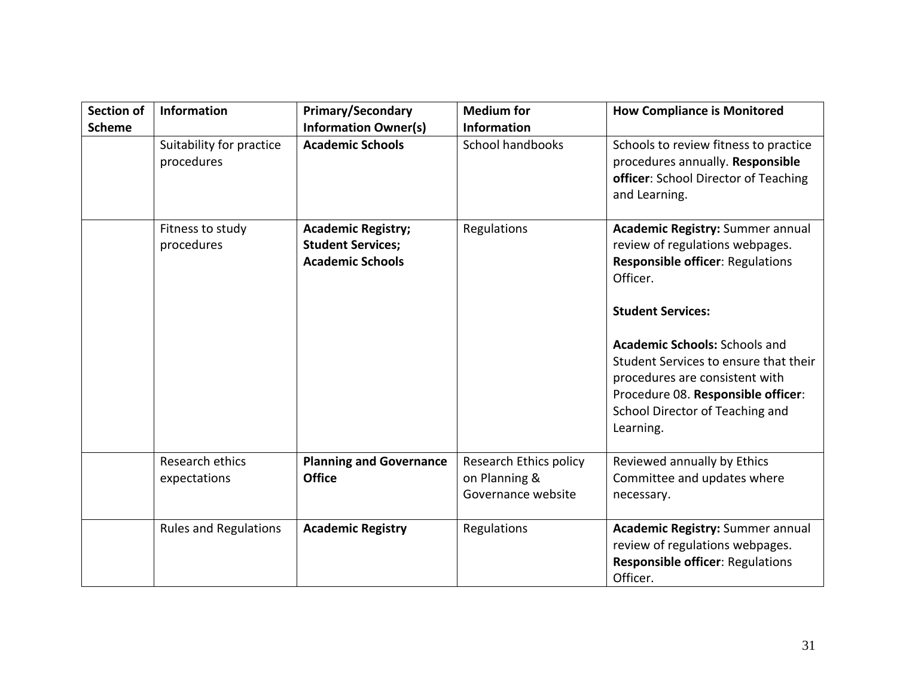| <b>Section of</b> | Information                            | <b>Primary/Secondary</b>                                                         | <b>Medium for</b>                                             | <b>How Compliance is Monitored</b>                                                                                                                                                                                                                                                                                                                              |
|-------------------|----------------------------------------|----------------------------------------------------------------------------------|---------------------------------------------------------------|-----------------------------------------------------------------------------------------------------------------------------------------------------------------------------------------------------------------------------------------------------------------------------------------------------------------------------------------------------------------|
| <b>Scheme</b>     |                                        | <b>Information Owner(s)</b>                                                      | <b>Information</b>                                            |                                                                                                                                                                                                                                                                                                                                                                 |
|                   | Suitability for practice<br>procedures | <b>Academic Schools</b>                                                          | School handbooks                                              | Schools to review fitness to practice<br>procedures annually. Responsible<br>officer: School Director of Teaching<br>and Learning.                                                                                                                                                                                                                              |
|                   | Fitness to study<br>procedures         | <b>Academic Registry;</b><br><b>Student Services;</b><br><b>Academic Schools</b> | Regulations                                                   | Academic Registry: Summer annual<br>review of regulations webpages.<br><b>Responsible officer: Regulations</b><br>Officer.<br><b>Student Services:</b><br><b>Academic Schools: Schools and</b><br>Student Services to ensure that their<br>procedures are consistent with<br>Procedure 08. Responsible officer:<br>School Director of Teaching and<br>Learning. |
|                   | Research ethics<br>expectations        | <b>Planning and Governance</b><br><b>Office</b>                                  | Research Ethics policy<br>on Planning &<br>Governance website | Reviewed annually by Ethics<br>Committee and updates where<br>necessary.                                                                                                                                                                                                                                                                                        |
|                   | <b>Rules and Regulations</b>           | <b>Academic Registry</b>                                                         | Regulations                                                   | <b>Academic Registry: Summer annual</b><br>review of regulations webpages.<br><b>Responsible officer: Regulations</b><br>Officer.                                                                                                                                                                                                                               |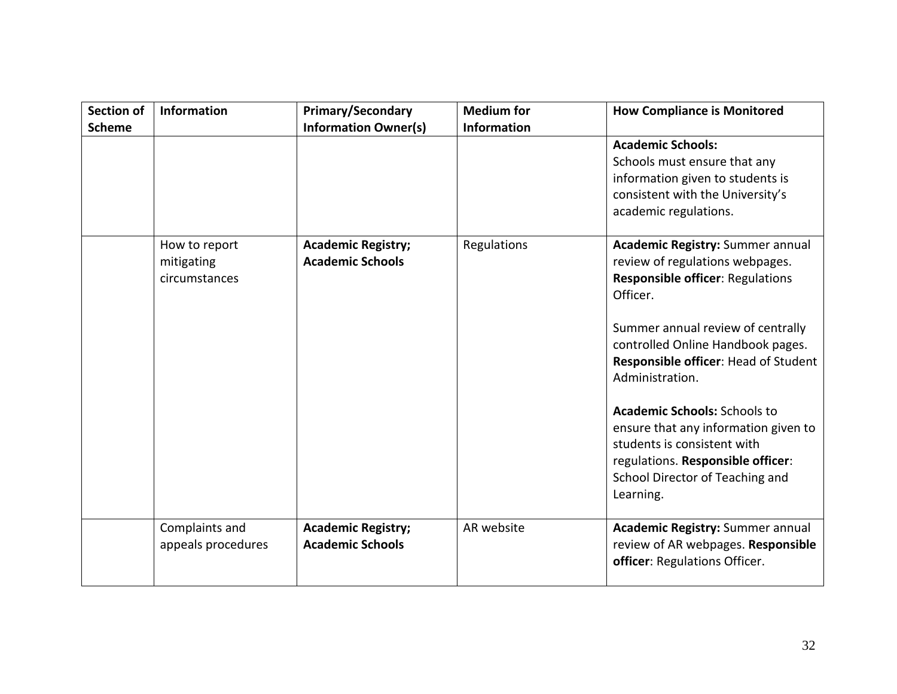| <b>Section of</b> | Information                                  | <b>Primary/Secondary</b>                             | <b>Medium for</b>  | <b>How Compliance is Monitored</b>                                                                                                                                                                                                                                                                                                                                                                                                                                        |
|-------------------|----------------------------------------------|------------------------------------------------------|--------------------|---------------------------------------------------------------------------------------------------------------------------------------------------------------------------------------------------------------------------------------------------------------------------------------------------------------------------------------------------------------------------------------------------------------------------------------------------------------------------|
| <b>Scheme</b>     |                                              | <b>Information Owner(s)</b>                          | <b>Information</b> |                                                                                                                                                                                                                                                                                                                                                                                                                                                                           |
|                   |                                              |                                                      |                    | <b>Academic Schools:</b><br>Schools must ensure that any<br>information given to students is<br>consistent with the University's<br>academic regulations.                                                                                                                                                                                                                                                                                                                 |
|                   | How to report<br>mitigating<br>circumstances | <b>Academic Registry;</b><br><b>Academic Schools</b> | Regulations        | <b>Academic Registry: Summer annual</b><br>review of regulations webpages.<br><b>Responsible officer: Regulations</b><br>Officer.<br>Summer annual review of centrally<br>controlled Online Handbook pages.<br>Responsible officer: Head of Student<br>Administration.<br><b>Academic Schools: Schools to</b><br>ensure that any information given to<br>students is consistent with<br>regulations. Responsible officer:<br>School Director of Teaching and<br>Learning. |
|                   | Complaints and<br>appeals procedures         | <b>Academic Registry;</b><br><b>Academic Schools</b> | AR website         | Academic Registry: Summer annual<br>review of AR webpages. Responsible<br>officer: Regulations Officer.                                                                                                                                                                                                                                                                                                                                                                   |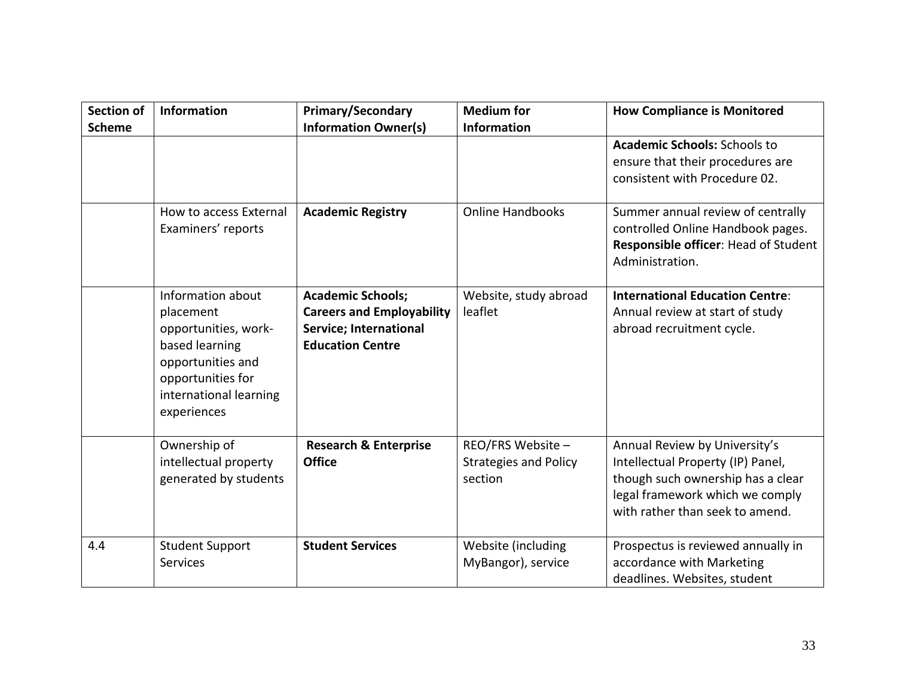| <b>Section of</b> | <b>Information</b>                                                                                                                                          | <b>Primary/Secondary</b>                                                                                          | <b>Medium for</b>                                            | <b>How Compliance is Monitored</b>                                                                                                                                            |
|-------------------|-------------------------------------------------------------------------------------------------------------------------------------------------------------|-------------------------------------------------------------------------------------------------------------------|--------------------------------------------------------------|-------------------------------------------------------------------------------------------------------------------------------------------------------------------------------|
| <b>Scheme</b>     |                                                                                                                                                             | <b>Information Owner(s)</b>                                                                                       | <b>Information</b>                                           | <b>Academic Schools: Schools to</b><br>ensure that their procedures are<br>consistent with Procedure 02.                                                                      |
|                   | How to access External<br>Examiners' reports                                                                                                                | <b>Academic Registry</b>                                                                                          | <b>Online Handbooks</b>                                      | Summer annual review of centrally<br>controlled Online Handbook pages.<br>Responsible officer: Head of Student<br>Administration.                                             |
|                   | Information about<br>placement<br>opportunities, work-<br>based learning<br>opportunities and<br>opportunities for<br>international learning<br>experiences | <b>Academic Schools;</b><br><b>Careers and Employability</b><br>Service; International<br><b>Education Centre</b> | Website, study abroad<br>leaflet                             | <b>International Education Centre:</b><br>Annual review at start of study<br>abroad recruitment cycle.                                                                        |
|                   | Ownership of<br>intellectual property<br>generated by students                                                                                              | <b>Research &amp; Enterprise</b><br><b>Office</b>                                                                 | REO/FRS Website -<br><b>Strategies and Policy</b><br>section | Annual Review by University's<br>Intellectual Property (IP) Panel,<br>though such ownership has a clear<br>legal framework which we comply<br>with rather than seek to amend. |
| 4.4               | <b>Student Support</b><br><b>Services</b>                                                                                                                   | <b>Student Services</b>                                                                                           | Website (including<br>MyBangor), service                     | Prospectus is reviewed annually in<br>accordance with Marketing<br>deadlines. Websites, student                                                                               |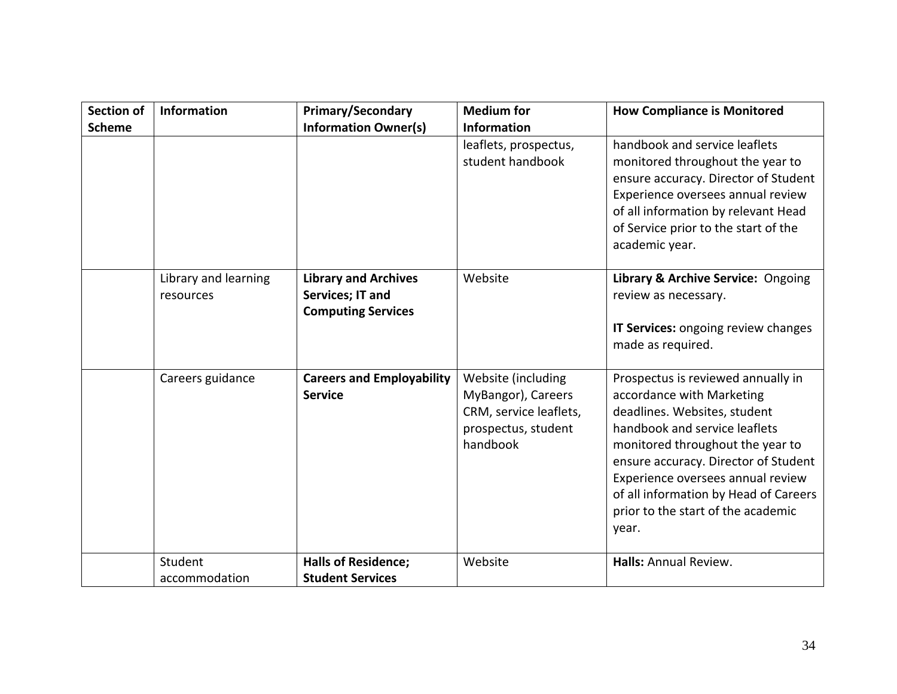| <b>Section of</b> | <b>Information</b>                | <b>Primary/Secondary</b>                                                            | <b>Medium for</b>                                                                                     | <b>How Compliance is Monitored</b>                                                                                                                                                                                                                                                                                                        |
|-------------------|-----------------------------------|-------------------------------------------------------------------------------------|-------------------------------------------------------------------------------------------------------|-------------------------------------------------------------------------------------------------------------------------------------------------------------------------------------------------------------------------------------------------------------------------------------------------------------------------------------------|
| <b>Scheme</b>     |                                   | <b>Information Owner(s)</b>                                                         | <b>Information</b>                                                                                    |                                                                                                                                                                                                                                                                                                                                           |
|                   |                                   |                                                                                     | leaflets, prospectus,<br>student handbook                                                             | handbook and service leaflets<br>monitored throughout the year to<br>ensure accuracy. Director of Student<br>Experience oversees annual review<br>of all information by relevant Head<br>of Service prior to the start of the<br>academic year.                                                                                           |
|                   | Library and learning<br>resources | <b>Library and Archives</b><br><b>Services; IT and</b><br><b>Computing Services</b> | Website                                                                                               | Library & Archive Service: Ongoing<br>review as necessary.<br>IT Services: ongoing review changes<br>made as required.                                                                                                                                                                                                                    |
|                   | Careers guidance                  | <b>Careers and Employability</b><br><b>Service</b>                                  | Website (including<br>MyBangor), Careers<br>CRM, service leaflets,<br>prospectus, student<br>handbook | Prospectus is reviewed annually in<br>accordance with Marketing<br>deadlines. Websites, student<br>handbook and service leaflets<br>monitored throughout the year to<br>ensure accuracy. Director of Student<br>Experience oversees annual review<br>of all information by Head of Careers<br>prior to the start of the academic<br>year. |
|                   | Student<br>accommodation          | <b>Halls of Residence;</b><br><b>Student Services</b>                               | Website                                                                                               | Halls: Annual Review.                                                                                                                                                                                                                                                                                                                     |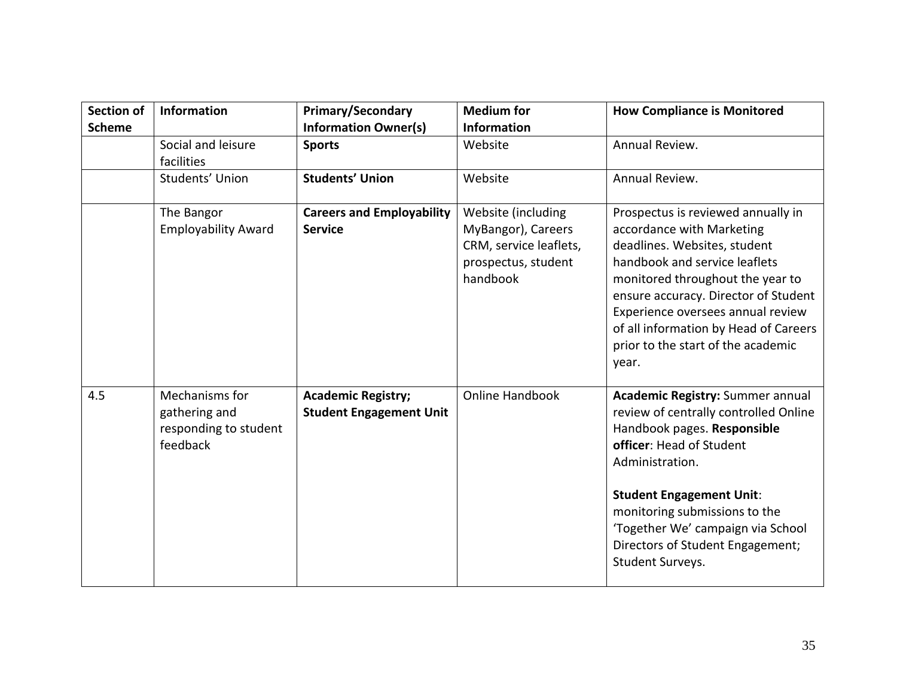| <b>Section of</b><br><b>Scheme</b> | Information                                                          | <b>Primary/Secondary</b><br><b>Information Owner(s)</b>     | <b>Medium for</b><br><b>Information</b>                                                               | <b>How Compliance is Monitored</b>                                                                                                                                                                                                                                                                                                        |
|------------------------------------|----------------------------------------------------------------------|-------------------------------------------------------------|-------------------------------------------------------------------------------------------------------|-------------------------------------------------------------------------------------------------------------------------------------------------------------------------------------------------------------------------------------------------------------------------------------------------------------------------------------------|
|                                    | Social and leisure<br>facilities                                     | <b>Sports</b>                                               | Website                                                                                               | Annual Review.                                                                                                                                                                                                                                                                                                                            |
|                                    | Students' Union                                                      | <b>Students' Union</b>                                      | Website                                                                                               | Annual Review.                                                                                                                                                                                                                                                                                                                            |
|                                    | The Bangor<br><b>Employability Award</b>                             | <b>Careers and Employability</b><br><b>Service</b>          | Website (including<br>MyBangor), Careers<br>CRM, service leaflets,<br>prospectus, student<br>handbook | Prospectus is reviewed annually in<br>accordance with Marketing<br>deadlines. Websites, student<br>handbook and service leaflets<br>monitored throughout the year to<br>ensure accuracy. Director of Student<br>Experience oversees annual review<br>of all information by Head of Careers<br>prior to the start of the academic<br>year. |
| 4.5                                | Mechanisms for<br>gathering and<br>responding to student<br>feedback | <b>Academic Registry;</b><br><b>Student Engagement Unit</b> | <b>Online Handbook</b>                                                                                | <b>Academic Registry: Summer annual</b><br>review of centrally controlled Online<br>Handbook pages. Responsible<br>officer: Head of Student<br>Administration.<br><b>Student Engagement Unit:</b><br>monitoring submissions to the<br>'Together We' campaign via School<br>Directors of Student Engagement;<br>Student Surveys.           |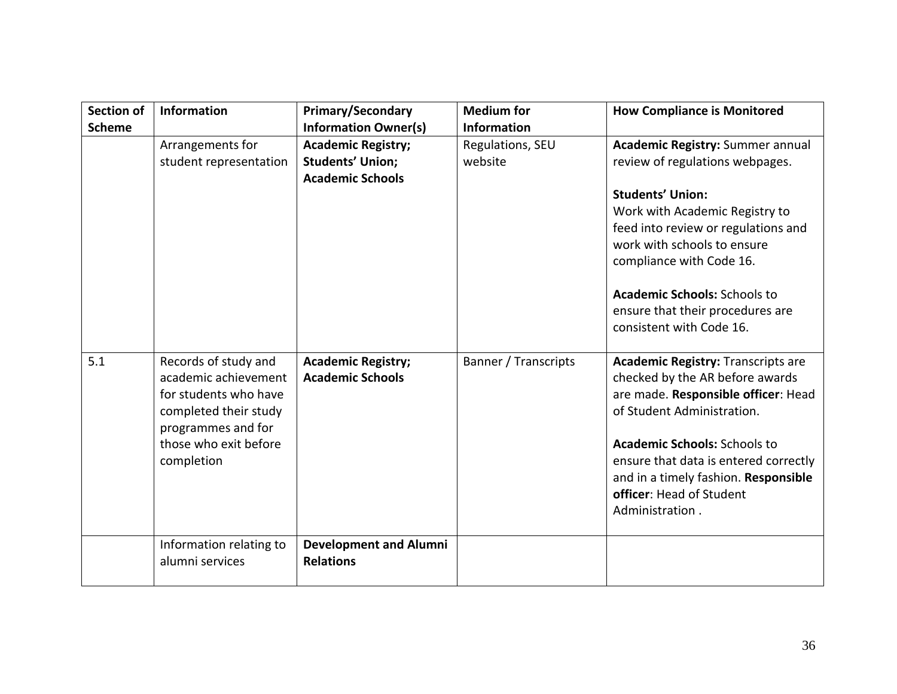| <b>Section of</b><br><b>Scheme</b> | Information                                                                                                                                                 | <b>Primary/Secondary</b><br><b>Information Owner(s)</b>                         | <b>Medium for</b><br><b>Information</b> | <b>How Compliance is Monitored</b>                                                                                                                                                                                                                                                                                                               |
|------------------------------------|-------------------------------------------------------------------------------------------------------------------------------------------------------------|---------------------------------------------------------------------------------|-----------------------------------------|--------------------------------------------------------------------------------------------------------------------------------------------------------------------------------------------------------------------------------------------------------------------------------------------------------------------------------------------------|
|                                    | Arrangements for<br>student representation                                                                                                                  | <b>Academic Registry;</b><br><b>Students' Union;</b><br><b>Academic Schools</b> | Regulations, SEU<br>website             | <b>Academic Registry: Summer annual</b><br>review of regulations webpages.<br><b>Students' Union:</b><br>Work with Academic Registry to<br>feed into review or regulations and<br>work with schools to ensure<br>compliance with Code 16.<br><b>Academic Schools: Schools to</b><br>ensure that their procedures are<br>consistent with Code 16. |
| 5.1                                | Records of study and<br>academic achievement<br>for students who have<br>completed their study<br>programmes and for<br>those who exit before<br>completion | <b>Academic Registry;</b><br><b>Academic Schools</b>                            | Banner / Transcripts                    | <b>Academic Registry: Transcripts are</b><br>checked by the AR before awards<br>are made. Responsible officer: Head<br>of Student Administration.<br><b>Academic Schools: Schools to</b><br>ensure that data is entered correctly<br>and in a timely fashion. Responsible<br>officer: Head of Student<br>Administration.                         |
|                                    | Information relating to<br>alumni services                                                                                                                  | <b>Development and Alumni</b><br><b>Relations</b>                               |                                         |                                                                                                                                                                                                                                                                                                                                                  |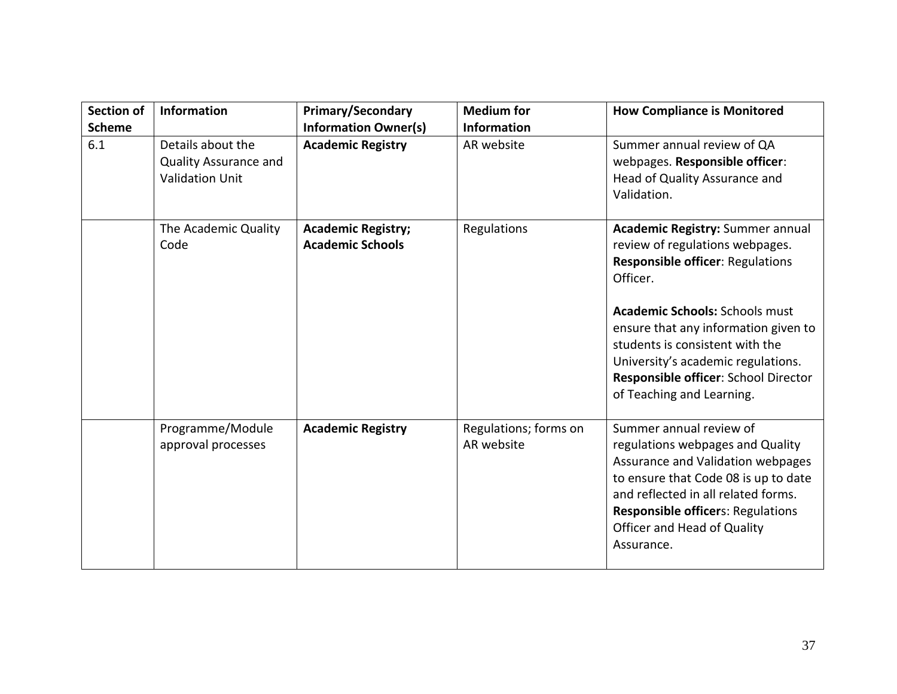| <b>Section of</b><br><b>Scheme</b> | <b>Information</b>                                                          | <b>Primary/Secondary</b><br><b>Information Owner(s)</b> | <b>Medium for</b><br><b>Information</b> | <b>How Compliance is Monitored</b>                                                                                                                                                                                                                                                                                                                               |
|------------------------------------|-----------------------------------------------------------------------------|---------------------------------------------------------|-----------------------------------------|------------------------------------------------------------------------------------------------------------------------------------------------------------------------------------------------------------------------------------------------------------------------------------------------------------------------------------------------------------------|
| 6.1                                | Details about the<br><b>Quality Assurance and</b><br><b>Validation Unit</b> | <b>Academic Registry</b>                                | AR website                              | Summer annual review of QA<br>webpages. Responsible officer:<br>Head of Quality Assurance and<br>Validation.                                                                                                                                                                                                                                                     |
|                                    | The Academic Quality<br>Code                                                | <b>Academic Registry;</b><br><b>Academic Schools</b>    | Regulations                             | <b>Academic Registry: Summer annual</b><br>review of regulations webpages.<br><b>Responsible officer: Regulations</b><br>Officer.<br><b>Academic Schools: Schools must</b><br>ensure that any information given to<br>students is consistent with the<br>University's academic regulations.<br>Responsible officer: School Director<br>of Teaching and Learning. |
|                                    | Programme/Module<br>approval processes                                      | <b>Academic Registry</b>                                | Regulations; forms on<br>AR website     | Summer annual review of<br>regulations webpages and Quality<br>Assurance and Validation webpages<br>to ensure that Code 08 is up to date<br>and reflected in all related forms.<br><b>Responsible officers: Regulations</b><br>Officer and Head of Quality<br>Assurance.                                                                                         |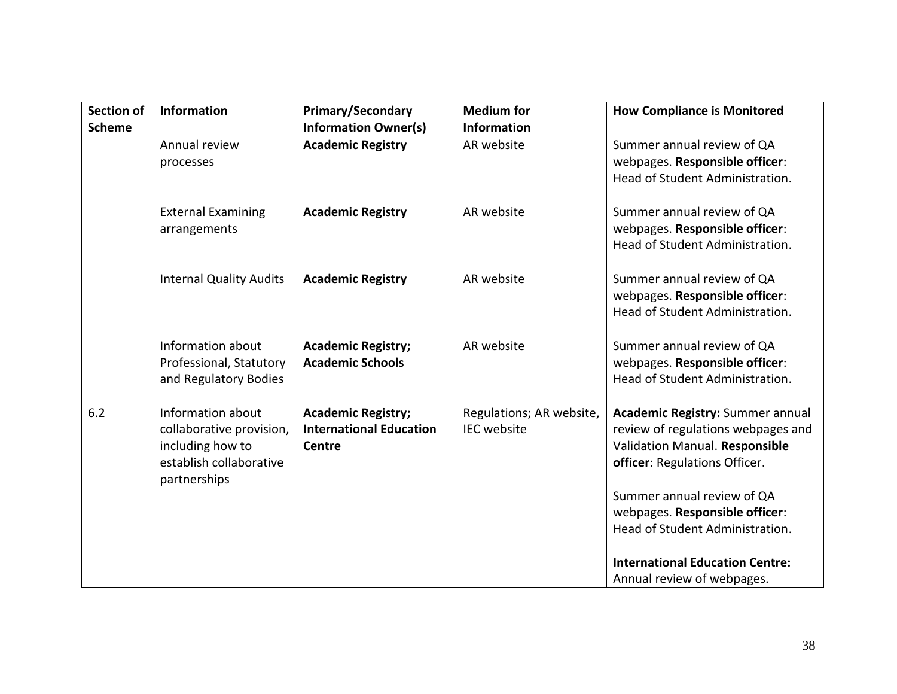| <b>Section of</b><br><b>Scheme</b> | Information                                                                                                  | <b>Primary/Secondary</b><br><b>Information Owner(s)</b>                      | <b>Medium for</b><br><b>Information</b>        | <b>How Compliance is Monitored</b>                                                                                                                                                                                                                  |
|------------------------------------|--------------------------------------------------------------------------------------------------------------|------------------------------------------------------------------------------|------------------------------------------------|-----------------------------------------------------------------------------------------------------------------------------------------------------------------------------------------------------------------------------------------------------|
|                                    | Annual review<br>processes                                                                                   | <b>Academic Registry</b>                                                     | AR website                                     | Summer annual review of QA<br>webpages. Responsible officer:<br>Head of Student Administration.                                                                                                                                                     |
|                                    | <b>External Examining</b><br>arrangements                                                                    | <b>Academic Registry</b>                                                     | AR website                                     | Summer annual review of QA<br>webpages. Responsible officer:<br>Head of Student Administration.                                                                                                                                                     |
|                                    | <b>Internal Quality Audits</b>                                                                               | <b>Academic Registry</b>                                                     | AR website                                     | Summer annual review of QA<br>webpages. Responsible officer:<br>Head of Student Administration.                                                                                                                                                     |
|                                    | Information about<br>Professional, Statutory<br>and Regulatory Bodies                                        | <b>Academic Registry;</b><br><b>Academic Schools</b>                         | AR website                                     | Summer annual review of QA<br>webpages. Responsible officer:<br>Head of Student Administration.                                                                                                                                                     |
| 6.2                                | Information about<br>collaborative provision,<br>including how to<br>establish collaborative<br>partnerships | <b>Academic Registry;</b><br><b>International Education</b><br><b>Centre</b> | Regulations; AR website,<br><b>IEC</b> website | <b>Academic Registry: Summer annual</b><br>review of regulations webpages and<br>Validation Manual. Responsible<br>officer: Regulations Officer.<br>Summer annual review of QA<br>webpages. Responsible officer:<br>Head of Student Administration. |
|                                    |                                                                                                              |                                                                              |                                                | <b>International Education Centre:</b><br>Annual review of webpages.                                                                                                                                                                                |